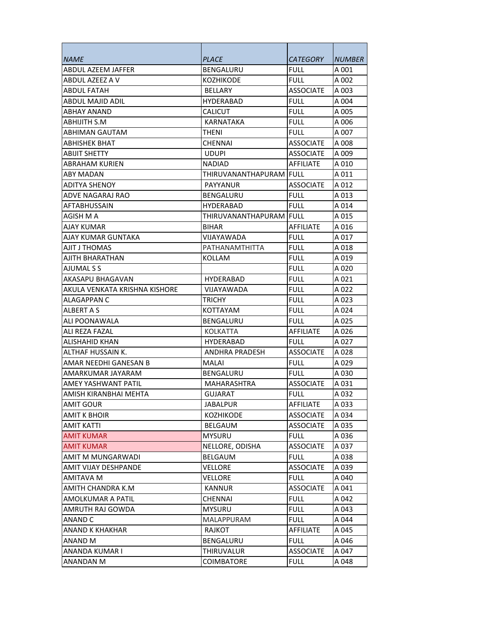| <i>NAME</i>                   | <i>PLACE</i>             | <i>CATEGORY</i>  | <i><b>NUMBER</b></i> |
|-------------------------------|--------------------------|------------------|----------------------|
| <b>ABDUL AZEEM JAFFER</b>     | BENGALURU                | FULL             | A 001                |
| ABDUL AZEEZ A V               | KOZHIKODE                | <b>FULL</b>      | A 002                |
| <b>ABDUL FATAH</b>            | <b>BELLARY</b>           | ASSOCIATE        | A 003                |
| ABDUL MAJID ADIL              | <b>HYDERABAD</b>         | <b>FULL</b>      | A 004                |
| ABHAY ANAND                   | <b>CALICUT</b>           | <b>FULL</b>      | A 005                |
| <b>ABHIJITH S.M</b>           | KARNATAKA                | full.            | A 006                |
| ABHIMAN GAUTAM                | THENI                    | <b>FULL</b>      | A 007                |
| ABHISHEK BHAT                 | CHENNAI                  | <b>ASSOCIATE</b> | A 008                |
| <b>ABIJIT SHETTY</b>          | <b>UDUPI</b>             | <b>ASSOCIATE</b> | A 009                |
| <b>ABRAHAM KURIEN</b>         | <b>NADIAD</b>            | <b>AFFILIATE</b> | A 010                |
| ABY MADAN                     | THIRUVANANTHAPURAM  FULL |                  | A 011                |
| ADITYA SHENOY                 | PAYYANUR                 | ASSOCIATE        | A 012                |
| ADVE NAGARAJ RAO              | BENGALURU                | <b>FULL</b>      | A 013                |
| <b>AFTABHUSSAIN</b>           | HYDERABAD                | <b>FULL</b>      | A 014                |
| AGISH M A                     | THIRUVANANTHAPURAM IFULL |                  | A 015                |
| AJAY KUMAR                    | <b>BIHAR</b>             | AFFILIATE        | A016                 |
| AJAY KUMAR GUNTAKA            | VIJAYAWADA               | FULL             | A 017                |
| AJIT J THOMAS                 | PATHANAMTHITTA           | FULL             | A018                 |
| AJITH BHARATHAN               | KOLLAM                   | <b>FULL</b>      | A 019                |
| AJUMAL S S                    |                          | <b>FULL</b>      | A 020                |
| AKASAPU BHAGAVAN              | <b>HYDERABAD</b>         | <b>FULL</b>      | A 021                |
| AKULA VENKATA KRISHNA KISHORE | VIJAYAWADA               | <b>FULL</b>      | A 022                |
| ALAGAPPAN C                   | TRICHY                   | FULL             | A 023                |
| <b>ALBERT A S</b>             | KOTTAYAM                 | FULL             | A 024                |
| ALI POONAWALA                 | <b>BENGALURU</b>         | FULL             | A 025                |
| ALI REZA FAZAL                | KOLKATTA                 | <b>AFFILIATE</b> | A 026                |
| ALISHAHID KHAN                | HYDERABAD                | FULL             | A 027                |
| <b>ALTHAF HUSSAIN K.</b>      | ANDHRA PRADESH           | <b>ASSOCIATE</b> | A 028                |
| AMAR NEEDHI GANESAN B         | MALAI                    | <b>FULL</b>      | A029                 |
| AMARKUMAR JAYARAM             | BENGALURU                | <b>FULL</b>      | A 030                |
| AMEY YASHWANT PATIL           | MAHARASHTRA              | ASSOCIATE        | A 031                |
| AMISH KIRANBHAI MEHTA         | GUJARAT                  | <b>FULL</b>      | A 032                |
| <b>AMIT GOUR</b>              | <b>JABALPUR</b>          | <b>AFFILIATE</b> | A 033                |
| <b>AMIT K BHOIR</b>           | <b>KOZHIKODE</b>         | <b>ASSOCIATE</b> | A 034                |
| <b>AMIT KATTI</b>             | <b>BELGAUM</b>           | <b>ASSOCIATE</b> | A 035                |
| <b>AMIT KUMAR</b>             | <b>MYSURU</b>            | <b>FULL</b>      | A 036                |
| <b>AMIT KUMAR</b>             | NELLORE, ODISHA          | <b>ASSOCIATE</b> | A 037                |
| AMIT M MUNGARWADI             | BELGAUM                  | <b>FULL</b>      | A 038                |
| AMIT VIJAY DESHPANDE          | VELLORE                  | <b>ASSOCIATE</b> | A 039                |
| AMITAVA M                     | VELLORE                  | <b>FULL</b>      | A 040                |
| AMITH CHANDRA K.M             | <b>KANNUR</b>            | <b>ASSOCIATE</b> | A 041                |
| AMOLKUMAR A PATIL             | CHENNAI                  | <b>FULL</b>      | A 042                |
| AMRUTH RAJ GOWDA              | <b>MYSURU</b>            | <b>FULL</b>      | A 043                |
| ANAND C                       | MALAPPURAM               | <b>FULL</b>      | A 044                |
| ANAND K KHAKHAR               | RAJKOT                   | AFFILIATE        | A 045                |
| ANAND M                       | BENGALURU                | <b>FULL</b>      | A 046                |
| ANANDA KUMAR I                | <b>THIRUVALUR</b>        | <b>ASSOCIATE</b> | A 047                |
| ANANDAN M                     | COIMBATORE               | <b>FULL</b>      | A 048                |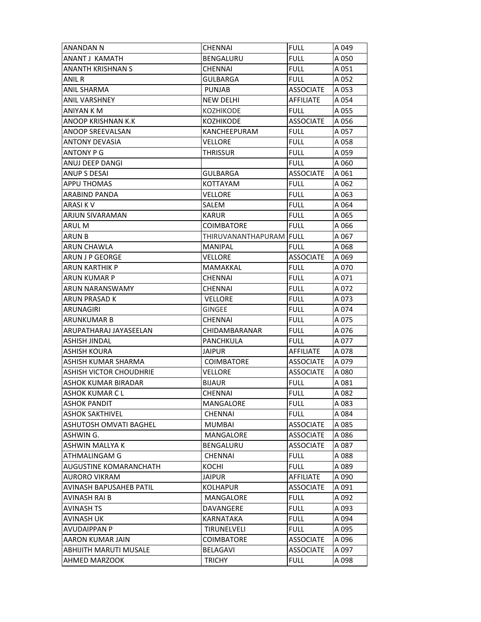| <b>ANANDAN N</b>               | CHENNAI                 | <b>FULL</b>      | A 049 |
|--------------------------------|-------------------------|------------------|-------|
| ANANT J KAMATH                 | <b>BENGALURU</b>        | <b>FULL</b>      | A 050 |
| <b>ANANTH KRISHNAN S</b>       | <b>CHENNAI</b>          | <b>FULL</b>      | A 051 |
| <b>ANIL R</b>                  | <b>GULBARGA</b>         | <b>FULL</b>      | A 052 |
| <b>ANIL SHARMA</b>             | <b>PUNJAB</b>           | <b>ASSOCIATE</b> | A 053 |
| <b>ANIL VARSHNEY</b>           | <b>NEW DELHI</b>        | AFFILIATE        | A 054 |
| ANIYAN K M                     | <b>KOZHIKODE</b>        | <b>FULL</b>      | A 055 |
| <b>ANOOP KRISHNAN K.K</b>      | <b>KOZHIKODE</b>        | <b>ASSOCIATE</b> | A 056 |
| <b>ANOOP SREEVALSAN</b>        | KANCHEEPURAM            | <b>FULL</b>      | A 057 |
| <b>ANTONY DEVASIA</b>          | VELLORE                 | <b>FULL</b>      | A 058 |
| <b>ANTONY P G</b>              | <b>THRISSUR</b>         | <b>FULL</b>      | A 059 |
| ANUJ DEEP DANGI                |                         | <b>FULL</b>      | A 060 |
| <b>ANUP S DESAI</b>            | <b>GULBARGA</b>         | <b>ASSOCIATE</b> | A 061 |
| <b>APPU THOMAS</b>             | KOTTAYAM                | <b>FULL</b>      | A 062 |
| ARABIND PANDA                  | VELLORE                 | <b>FULL</b>      | A 063 |
| ARASI K V                      | SALEM                   | <b>FULL</b>      | A 064 |
| <b>ARJUN SIVARAMAN</b>         | <b>KARUR</b>            | <b>FULL</b>      | A 065 |
| <b>ARUL M</b>                  | COIMBATORE              | <b>FULL</b>      | A 066 |
| ARUN B                         | THIRUVANANTHAPURAM FULL |                  | A 067 |
| <b>ARUN CHAWLA</b>             | <b>MANIPAL</b>          | <b>FULL</b>      | A 068 |
| <b>ARUN J P GEORGE</b>         | <b>VELLORE</b>          | <b>ASSOCIATE</b> | A 069 |
| <b>ARUN KARTHIK P</b>          | MAMAKKAL                | <b>FULL</b>      | A 070 |
| <b>ARUN KUMAR P</b>            | <b>CHENNAI</b>          | <b>FULL</b>      | A 071 |
| ARUN NARANSWAMY                | CHENNAI                 | <b>FULL</b>      | A 072 |
| <b>ARUN PRASAD K</b>           | <b>VELLORE</b>          | <b>FULL</b>      | A 073 |
| ARUNAGIRI                      | <b>GINGEE</b>           | <b>FULL</b>      | A 074 |
| ARUNKUMAR B                    | CHENNAI                 | <b>FULL</b>      | A 075 |
| ARUPATHARAJ JAYASEELAN         | CHIDAMBARANAR           | <b>FULL</b>      | A 076 |
| <b>ASHISH JINDAL</b>           | PANCHKULA               | <b>FULL</b>      | A 077 |
| <b>ASHISH KOURA</b>            | <b>JAIPUR</b>           | AFFILIATE        | A 078 |
| ASHISH KUMAR SHARMA            | <b>COIMBATORE</b>       | <b>ASSOCIATE</b> | A 079 |
| <b>ASHISH VICTOR CHOUDHRIE</b> | VELLORE                 | <b>ASSOCIATE</b> | A 080 |
| <b>ASHOK KUMAR BIRADAR</b>     | <b>BIJAUR</b>           | <b>FULL</b>      | A081  |
| <b>ASHOK KUMAR CL</b>          | CHENNAI                 | <b>FULL</b>      | A082  |
| <b>ASHOK PANDIT</b>            | MANGALORE               | <b>FULL</b>      | A 083 |
| ASHOK SAKTHIVEL                | <b>CHENNAI</b>          | <b>FULL</b>      | A 084 |
| <b>ASHUTOSH OMVATI BAGHEL</b>  | <b>MUMBAI</b>           | <b>ASSOCIATE</b> | A 085 |
| ASHWIN G.                      | <b>MANGALORE</b>        | <b>ASSOCIATE</b> | A 086 |
| ASHWIN MALLYA K                | <b>BENGALURU</b>        | <b>ASSOCIATE</b> | A 087 |
| ATHMALINGAM G                  | <b>CHENNAI</b>          | <b>FULL</b>      | A088  |
| <b>AUGUSTINE KOMARANCHATH</b>  | KOCHI                   | <b>FULL</b>      | A 089 |
| AURORO VIKRAM                  | <b>JAIPUR</b>           | AFFILIATE        | A 090 |
| <b>AVINASH BAPUSAHEB PATIL</b> | <b>KOLHAPUR</b>         | <b>ASSOCIATE</b> | A 091 |
| AVINASH RAI B                  | MANGALORE               | <b>FULL</b>      | A 092 |
| AVINASH TS                     | DAVANGERE               | <b>FULL</b>      | A 093 |
| <b>AVINASH UK</b>              | KARNATAKA               | <b>FULL</b>      | A 094 |
| <b>AVUDAIPPAN P</b>            | <b>TIRUNELVELI</b>      | <b>FULL</b>      | A 095 |
| AARON KUMAR JAIN               | <b>COIMBATORE</b>       | <b>ASSOCIATE</b> | A 096 |
| <b>ABHIJITH MARUTI MUSALE</b>  | BELAGAVI                | <b>ASSOCIATE</b> | A 097 |
| <b>AHMED MARZOOK</b>           | <b>TRICHY</b>           | <b>FULL</b>      | A 098 |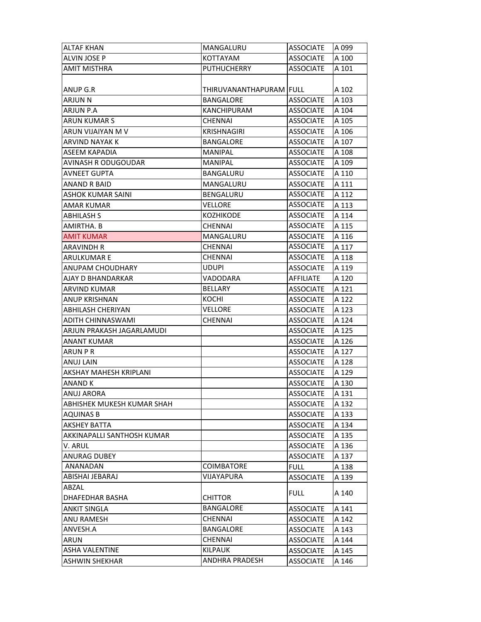| <b>ALTAF KHAN</b>          | MANGALURU                        | <b>ASSOCIATE</b> | A 099 |
|----------------------------|----------------------------------|------------------|-------|
| ALVIN JOSE P               | KOTTAYAM                         | <b>ASSOCIATE</b> | A 100 |
| <b>AMIT MISTHRA</b>        | <b>PUTHUCHERRY</b>               | <b>ASSOCIATE</b> | A 101 |
|                            |                                  |                  |       |
| <b>ANUP G.R</b>            | THIRUVANANTHAPURAM <b>İ</b> FULL |                  | A 102 |
| <b>ARJUN N</b>             | <b>BANGALORE</b>                 | <b>ASSOCIATE</b> | A 103 |
| <b>ARJUN P.A</b>           | <b>KANCHIPURAM</b>               | <b>ASSOCIATE</b> | A 104 |
| <b>ARUN KUMAR S</b>        | CHENNAI                          | <b>ASSOCIATE</b> | A 105 |
| ARUN VIJAIYAN M V          | <b>KRISHNAGIRI</b>               | <b>ASSOCIATE</b> | A 106 |
| ARVIND NAYAK K             | <b>BANGALORE</b>                 | <b>ASSOCIATE</b> | A 107 |
| <b>ASEEM KAPADIA</b>       | MANIPAL                          | <b>ASSOCIATE</b> | A 108 |
| AVINASH R ODUGOUDAR        | <b>MANIPAL</b>                   | <b>ASSOCIATE</b> | A 109 |
| <b>AVNEET GUPTA</b>        | BANGALURU                        | <b>ASSOCIATE</b> | A 110 |
| ANAND R BAID               | MANGALURU                        | <b>ASSOCIATE</b> | A 111 |
| <b>ASHOK KUMAR SAINI</b>   | <b>BENGALURU</b>                 | <b>ASSOCIATE</b> | A 112 |
| <b>AMAR KUMAR</b>          | VELLORE                          | <b>ASSOCIATE</b> | A 113 |
| <b>ABHILASH S</b>          | <b>KOZHIKODE</b>                 | <b>ASSOCIATE</b> | A 114 |
| AMIRTHA. B                 | CHENNAI                          | <b>ASSOCIATE</b> | A 115 |
| <b>AMIT KUMAR</b>          | MANGALURU                        | ASSOCIATE        | A 116 |
| <b>ARAVINDH R</b>          | <b>CHENNAI</b>                   | <b>ASSOCIATE</b> | A 117 |
| <b>ARULKUMAR E</b>         | <b>CHENNAI</b>                   | <b>ASSOCIATE</b> | A 118 |
| ANUPAM CHOUDHARY           | <b>UDUPI</b>                     | <b>ASSOCIATE</b> | A 119 |
| AJAY D BHANDARKAR          | VADODARA                         | AFFILIATE        | A 120 |
| <b>ARVIND KUMAR</b>        | <b>BELLARY</b>                   | <b>ASSOCIATE</b> | A 121 |
| <b>ANUP KRISHNAN</b>       | KOCHI                            | <b>ASSOCIATE</b> | A 122 |
| <b>ABHILASH CHERIYAN</b>   | <b>VELLORE</b>                   | <b>ASSOCIATE</b> | A 123 |
| ADITH CHINNASWAMI          | <b>CHENNAI</b>                   | <b>ASSOCIATE</b> | A 124 |
| ARJUN PRAKASH JAGARLAMUDI  |                                  | <b>ASSOCIATE</b> | A 125 |
| <b>ANANT KUMAR</b>         |                                  | <b>ASSOCIATE</b> | A 126 |
| ARUN P R                   |                                  | <b>ASSOCIATE</b> | A 127 |
| <b>ANUJ LAIN</b>           |                                  | <b>ASSOCIATE</b> | A 128 |
| AKSHAY MAHESH KRIPLANI     |                                  | <b>ASSOCIATE</b> | A 129 |
| <b>ANAND K</b>             |                                  | <b>ASSOCIATE</b> | A 130 |
| <b>ANUJ ARORA</b>          |                                  | <b>ASSOCIATE</b> | A 131 |
| ABHISHEK MUKESH KUMAR SHAH |                                  | <b>ASSOCIATE</b> | A 132 |
| <b>AQUINAS B</b>           |                                  | <b>ASSOCIATE</b> | A 133 |
| <b>AKSHEY BATTA</b>        |                                  | <b>ASSOCIATE</b> | A 134 |
| AKKINAPALLI SANTHOSH KUMAR |                                  | <b>ASSOCIATE</b> | A 135 |
| V. ARUL                    |                                  | <b>ASSOCIATE</b> | A 136 |
| <b>ANURAG DUBEY</b>        |                                  | <b>ASSOCIATE</b> | A 137 |
| <b>ANANADAN</b>            | <b>COIMBATORE</b>                | <b>FULL</b>      | A 138 |
| ABISHAI JEBARAJ            | VIJAYAPURA                       | <b>ASSOCIATE</b> | A 139 |
| ABZAL                      |                                  |                  |       |
| DHAFEDHAR BASHA            | CHITTOR                          | <b>FULL</b>      | A 140 |
| <b>ANKIT SINGLA</b>        | <b>BANGALORE</b>                 | <b>ASSOCIATE</b> | A 141 |
| ANU RAMESH                 | <b>CHENNAI</b>                   | <b>ASSOCIATE</b> | A 142 |
| ANVESH.A                   | <b>BANGALORE</b>                 | <b>ASSOCIATE</b> | A 143 |
| <b>ARUN</b>                | <b>CHENNAI</b>                   | <b>ASSOCIATE</b> | A 144 |
| <b>ASHA VALENTINE</b>      | <b>KILPAUK</b>                   | <b>ASSOCIATE</b> | A 145 |
| <b>ASHWIN SHEKHAR</b>      | ANDHRA PRADESH                   | <b>ASSOCIATE</b> | A 146 |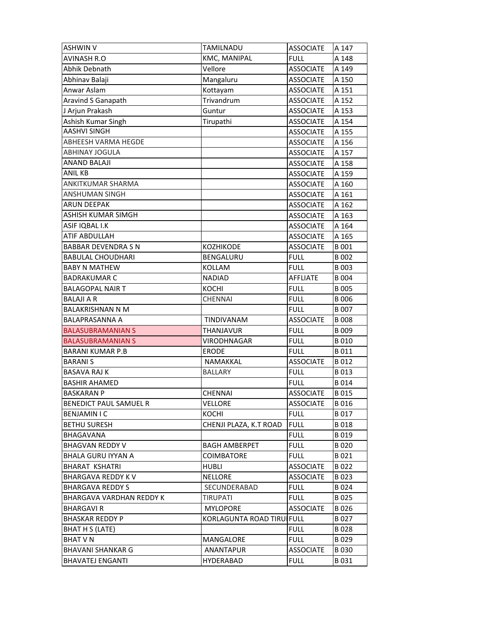| <b>ASHWIN V</b>                 | <b>TAMILNADU</b>          | <b>ASSOCIATE</b> | A 147       |
|---------------------------------|---------------------------|------------------|-------------|
| <b>AVINASH R.O</b>              | KMC, MANIPAL              | <b>FULL</b>      | A 148       |
| Abhik Debnath                   | Vellore                   | <b>ASSOCIATE</b> | A 149       |
| Abhinav Balaji                  | Mangaluru                 | <b>ASSOCIATE</b> | A 150       |
| Anwar Aslam                     | Kottayam                  | <b>ASSOCIATE</b> | A 151       |
| Aravind S Ganapath              | Trivandrum                | <b>ASSOCIATE</b> | A 152       |
| J Arjun Prakash                 | Guntur                    | <b>ASSOCIATE</b> | A 153       |
| Ashish Kumar Singh              | Tirupathi                 | <b>ASSOCIATE</b> | A 154       |
| <b>AASHVI SINGH</b>             |                           | <b>ASSOCIATE</b> | A 155       |
| ABHEESH VARMA HEGDE             |                           | <b>ASSOCIATE</b> | A 156       |
| <b>ABHINAY JOGULA</b>           |                           | <b>ASSOCIATE</b> | A 157       |
| <b>ANAND BALAJI</b>             |                           | <b>ASSOCIATE</b> | A 158       |
| <b>ANIL KB</b>                  |                           | <b>ASSOCIATE</b> | A 159       |
| ANKITKUMAR SHARMA               |                           | <b>ASSOCIATE</b> | A 160       |
| ANSHUMAN SINGH                  |                           | <b>ASSOCIATE</b> | A 161       |
| <b>ARUN DEEPAK</b>              |                           | <b>ASSOCIATE</b> | A 162       |
| <b>ASHISH KUMAR SIMGH</b>       |                           | <b>ASSOCIATE</b> | A 163       |
| ASIF IQBAL I.K                  |                           | <b>ASSOCIATE</b> | A 164       |
| ATIF ABDULLAH                   |                           | <b>ASSOCIATE</b> | A 165       |
| <b>BABBAR DEVENDRA S N</b>      | <b>KOZHIKODE</b>          | <b>ASSOCIATE</b> | B 001       |
| <b>BABULAL CHOUDHARI</b>        | BENGALURU                 | <b>FULL</b>      | B 002       |
| <b>BABY N MATHEW</b>            | <b>KOLLAM</b>             | <b>FULL</b>      | B 003       |
| <b>BADRAKUMAR C</b>             | <b>NADIAD</b>             | <b>AFFLIATE</b>  | <b>B004</b> |
| <b>BALAGOPAL NAIR T</b>         | KOCHI                     | <b>FULL</b>      | <b>B005</b> |
| <b>BALAJI A R</b>               | <b>CHENNAI</b>            | <b>FULL</b>      | <b>B006</b> |
| <b>BALAKRISHNAN N M</b>         |                           | <b>FULL</b>      | B 007       |
| <b>BALAPRASANNA A</b>           | TINDIVANAM                | <b>ASSOCIATE</b> | <b>B008</b> |
| <b>BALASUBRAMANIAN S</b>        | THANJAVUR                 | <b>FULL</b>      | <b>B009</b> |
| <b>BALASUBRAMANIAN S</b>        | VIRODHNAGAR               | <b>FULL</b>      | <b>B010</b> |
| <b>BARANI KUMAR P.B</b>         | <b>ERODE</b>              | <b>FULL</b>      | B 011       |
| <b>BARANIS</b>                  | <b>NAMAKKAL</b>           | <b>ASSOCIATE</b> | B 012       |
| <b>BASAVA RAJ K</b>             | <b>BALLARY</b>            | <b>FULL</b>      | B 013       |
| <b>BASHIR AHAMED</b>            |                           | FULL             | B014        |
| <b>BASKARAN P</b>               | CHENNAI                   | <b>ASSOCIATE</b> | B 015       |
| <b>BENEDICT PAUL SAMUEL R</b>   | VELLORE                   | <b>ASSOCIATE</b> | B 016       |
| <b>BENJAMIN I C</b>             | KOCHI                     | <b>FULL</b>      | B 017       |
| <b>BETHU SURESH</b>             | CHENJI PLAZA, K.T ROAD    | <b>FULL</b>      | B 018       |
| <b>BHAGAVANA</b>                |                           | <b>FULL</b>      | B 019       |
| <b>BHAGVAN REDDY V</b>          | <b>BAGH AMBERPET</b>      | <b>FULL</b>      | B 020       |
| <b>BHALA GURU IYYAN A</b>       | <b>COIMBATORE</b>         | <b>FULL</b>      | B 021       |
| <b>BHARAT KSHATRI</b>           | HUBLI                     | <b>ASSOCIATE</b> | B 022       |
| <b>BHARGAVA REDDY K V</b>       | <b>NELLORE</b>            | <b>ASSOCIATE</b> | B 023       |
| <b>BHARGAVA REDDY S</b>         | <b>SECUNDERABAD</b>       | <b>FULL</b>      | B 024       |
| <b>BHARGAVA VARDHAN REDDY K</b> | TIRUPATI                  | <b>FULL</b>      | B 025       |
| <b>BHARGAVIR</b>                | <b>MYLOPORE</b>           | <b>ASSOCIATE</b> | B 026       |
| <b>BHASKAR REDDY P</b>          | KORLAGUNTA ROAD TIRUIFULL |                  | B 027       |
| BHAT H S (LATE)                 |                           | <b>FULL</b>      | B 028       |
| <b>BHAT V N</b>                 | MANGALORE                 | <b>FULL</b>      | B 029       |
|                                 |                           |                  |             |
| <b>BHAVANI SHANKAR G</b>        | ANANTAPUR                 | <b>ASSOCIATE</b> | <b>B030</b> |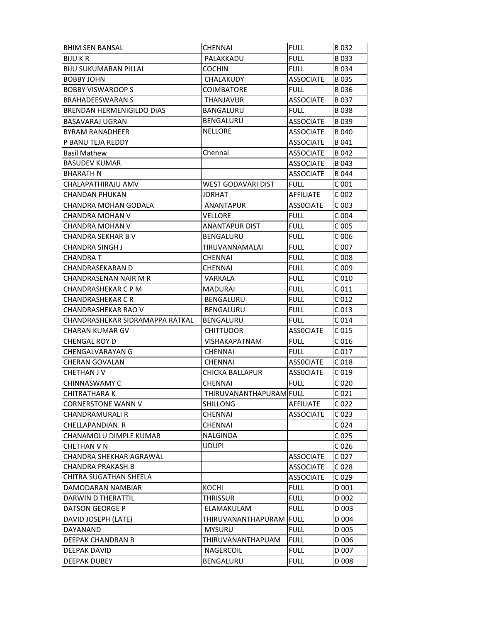| <b>BHIM SEN BANSAL</b>           | <b>CHENNAI</b>          | <b>FULL</b>      | B032             |
|----------------------------------|-------------------------|------------------|------------------|
| <b>BIJU K R</b>                  | PALAKKADU               | <b>FULL</b>      | B033             |
| <b>BIJU SUKUMARAN PILLAI</b>     | <b>COCHIN</b>           | <b>FULL</b>      | B034             |
| <b>BOBBY JOHN</b>                | <b>CHALAKUDY</b>        | <b>ASSOCIATE</b> | B 035            |
| <b>BOBBY VISWAROOP S</b>         | <b>COIMBATORE</b>       | <b>FULL</b>      | B036             |
| <b>BRAHADEESWARAN S</b>          | <b>THANJAVUR</b>        | <b>ASSOCIATE</b> | B 037            |
| <b>BRENDAN HERMENIGILDO DIAS</b> | BANGALURU               | <b>FULL</b>      | <b>B038</b>      |
| BASAVARAJ UGRAN                  | BENGALURU               | <b>ASSOCIATE</b> | B 039            |
| <b>BYRAM RANADHEER</b>           | <b>NELLORE</b>          | <b>ASSOCIATE</b> | B 040            |
| P BANU TEJA REDDY                |                         | <b>ASSOCIATE</b> | B 041            |
| <b>Basil Mathew</b>              | Chennai                 | <b>ASSOCIATE</b> | B 042            |
| <b>BASUDEV KUMAR</b>             |                         | <b>ASSOCIATE</b> | B 043            |
| <b>BHARATH N</b>                 |                         | <b>ASSOCIATE</b> | B 044            |
| CHALAPATHIRAJU AMV               | WEST GODAVARI DIST      | <b>FULL</b>      | C <sub>001</sub> |
| CHANDAN PHUKAN                   | JORHAT                  | AFFILIATE        | C 002            |
| <b>CHANDRA MOHAN GODALA</b>      | <b>ANANTAPUR</b>        | <b>ASSOCIATE</b> | C <sub>003</sub> |
| CHANDRA MOHAN V                  | VELLORE                 | <b>FULL</b>      | C 004            |
| CHANDRA MOHAN V                  | <b>ANANTAPUR DIST</b>   | <b>FULL</b>      | C 005            |
| CHANDRA SEKHAR B V               | BENGALURU               | <b>FULL</b>      | C006             |
| <b>CHANDRA SINGH J</b>           | TIRUVANNAMALAI          | <b>FULL</b>      | C 007            |
| <b>CHANDRAT</b>                  | <b>CHENNAI</b>          | <b>FULL</b>      | C 008            |
| CHANDRASEKARAN D                 | <b>CHENNAI</b>          | <b>FULL</b>      | C 009            |
| CHANDRASENAN NAIR M R            | VARKALA                 | <b>FULL</b>      | C <sub>010</sub> |
| CHANDRASHEKAR C P M              | MADURAI                 | <b>FULL</b>      | C 011            |
| CHANDRASHEKAR C R                | BENGALURU               | <b>FULL</b>      | C 012            |
| CHANDRASHEKAR RAO V              | BENGALURU               | <b>FULL</b>      | C <sub>013</sub> |
| CHANDRASHEKAR SIDRAMAPPA RATKAL  | BENGALURU               | <b>FULL</b>      | C <sub>014</sub> |
| CHARAN KUMAR GV                  | <b>CHITTUOOR</b>        | <b>ASSOCIATE</b> | C <sub>015</sub> |
|                                  |                         |                  |                  |
| <b>CHENGAL ROY D</b>             | <b>VISHAKAPATNAM</b>    | <b>FULL</b>      | C 016            |
| CHENGALVARAYAN G                 | CHENNAI                 | <b>FULL</b>      | C <sub>017</sub> |
| <b>CHERAN GOVALAN</b>            | <b>CHENNAI</b>          | <b>ASSOCIATE</b> | C 018            |
| CHETHAN J V                      | CHICKA BALLAPUR         | <b>ASSOCIATE</b> | C 019            |
| <b>CHINNASWAMY C</b>             | CHENNAI                 | <b>FULL</b>      | C <sub>020</sub> |
| <b>CHITRATHARA K</b>             | THIRUVANANTHAPURAM FULL |                  | C <sub>021</sub> |
| <b>CORNERSTONE WANN V</b>        | SHILLONG                | AFFILIATE        | C <sub>022</sub> |
| <b>CHANDRAMURALI R</b>           | CHENNAI                 | <b>ASSOCIATE</b> | C 023            |
| CHELLAPANDIAN. R                 | CHENNAI                 |                  | C 024            |
| CHANAMOLU DIMPLE KUMAR           | NALGINDA                |                  | C <sub>025</sub> |
| CHETHAN V N                      | <b>UDUPI</b>            |                  | C <sub>026</sub> |
| CHANDRA SHEKHAR AGRAWAL          |                         | <b>ASSOCIATE</b> | C <sub>027</sub> |
| CHANDRA PRAKASH.B                |                         | <b>ASSOCIATE</b> | C <sub>028</sub> |
| CHITRA SUGATHAN SHEELA           |                         | <b>ASSOCIATE</b> | C 029            |
| DAMODARAN NAMBIAR                | KOCHI                   | <b>FULL</b>      | D 001            |
| DARWIN D THERATTIL               | THRISSUR                | <b>FULL</b>      | D 002            |
| <b>DATSON GEORGE P</b>           | ELAMAKULAM              | <b>FULL</b>      | D 003            |
| DAVID JOSEPH (LATE)              | THIRUVANANTHAPURAM FULL |                  | D 004            |
| DAYANAND                         | <b>MYSURU</b>           | <b>FULL</b>      | D 005            |
| DEEPAK CHANDRAN B                | THIRUVANANTHAPUAM       | <b>FULL</b>      | D 006            |
| DEEPAK DAVID                     | NAGERCOIL               | <b>FULL</b>      | D 007            |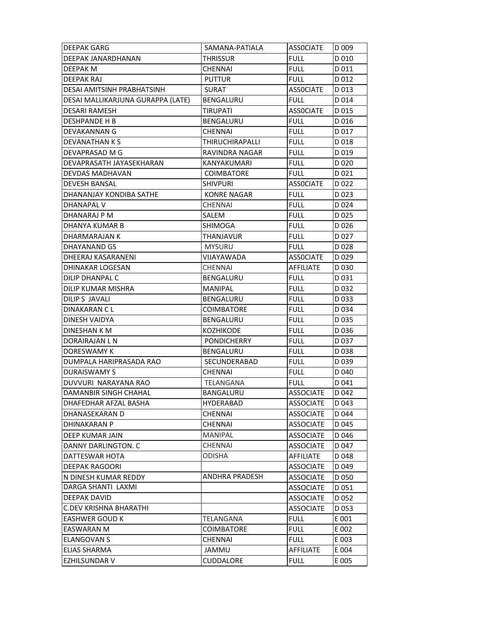| <b>DEEPAK GARG</b>                | SAMANA-PATIALA        | <b>ASSOCIATE</b> | D 009            |
|-----------------------------------|-----------------------|------------------|------------------|
| DEEPAK JANARDHANAN                | THRISSUR              | <b>FULL</b>      | D 010            |
| DEEPAK M                          | CHENNAI               | <b>FULL</b>      | D 011            |
| <b>DEEPAK RAJ</b>                 | <b>PUTTUR</b>         | <b>FULL</b>      | D 012            |
| DESAI AMITSINH PRABHATSINH        | <b>SURAT</b>          | <b>ASSOCIATE</b> | D 013            |
| DESAI MALLIKARJUNA GURAPPA (LATE) | BENGALURU             | <b>FULL</b>      | D 014            |
| <b>DESARI RAMESH</b>              | <b>TIRUPATI</b>       | <b>ASSOCIATE</b> | D 015            |
| <b>DESHPANDE H B</b>              | BENGALURU             | <b>FULL</b>      | D 016            |
| DEVAKANNAN G                      | CHENNAI               | <b>FULL</b>      | D 017            |
| DEVANATHAN K S                    | THIRUCHIRAPALLI       | <b>FULL</b>      | D 018            |
| DEVAPRASAD M G                    | RAVINDRA NAGAR        | <b>FULL</b>      | D 019            |
| DEVAPRASATH JAYASEKHARAN          | KANYAKUMARI           | <b>FULL</b>      | D 020            |
| DEVDAS MADHAVAN                   | <b>COIMBATORE</b>     | <b>FULL</b>      | D 021            |
| <b>DEVESH BANSAL</b>              | <b>SHIVPURI</b>       | <b>ASSOCIATE</b> | D <sub>022</sub> |
| DHANANJAY KONDIBA SATHE           | <b>KONRE NAGAR</b>    | <b>FULL</b>      | D 023            |
| <b>DHANAPAL V</b>                 | <b>CHENNAI</b>        | <b>FULL</b>      | D 024            |
| DHANARAJ P M                      | SALEM                 | <b>FULL</b>      | D025             |
| DHANYA KUMAR B                    | <b>SHIMOGA</b>        | <b>FULL</b>      | D026             |
| DHARMARAJAN K                     | THANJAVUR             | <b>FULL</b>      | D 027            |
| DHAYANAND GS                      | <b>MYSURU</b>         | <b>FULL</b>      | D 028            |
| DHEERAJ KASARANENI                | VIJAYAWADA            | <b>ASSOCIATE</b> | D <sub>029</sub> |
| DHINAKAR LOGESAN                  | <b>CHENNAI</b>        | <b>AFFILIATE</b> | D 030            |
| DILIP DHANPAL C                   | BENGALURU             | <b>FULL</b>      | D 031            |
| DILIP KUMAR MISHRA                | <b>MANIPAL</b>        | <b>FULL</b>      | D 032            |
| <b>DILIPS JAVALI</b>              | BENGALURU             | <b>FULL</b>      | D 033            |
| DINAKARAN C L                     | <b>COIMBATORE</b>     | <b>FULL</b>      | D 034            |
| DINESH VAIDYA                     | BENGALURU             | <b>FULL</b>      | D 035            |
| DINESHAN K M                      | KOZHIKODE             | <b>FULL</b>      | D036             |
| DORAIRAJAN L N                    | <b>PONDICHERRY</b>    | <b>FULL</b>      | D 037            |
| DORESWAMY K                       | BENGALURU             | <b>FULL</b>      | D 038            |
| DUMPALA HARIPRASADA RAO           | SECUNDERABAD          | <b>FULL</b>      | D <sub>039</sub> |
| <b>DURAISWAMY S</b>               | <b>CHENNAI</b>        | <b>FULL</b>      | D 040            |
| DUVVURI NARAYANA RAO              | TELANGANA             | <b>FULL</b>      | D 041            |
| <b>DAMANBIR SINGH CHAHAL</b>      | BANGALURU             | ASSOCIATE        | D 042            |
| DHAFEDHAR AFZAL BASHA             | HYDERABAD             | <b>ASSOCIATE</b> | D 043            |
| DHANASEKARAN D                    | <b>CHENNAI</b>        | <b>ASSOCIATE</b> | D 044            |
| DHINAKARAN P                      | CHENNAI               | <b>ASSOCIATE</b> | D 045            |
| <b>DEEP KUMAR JAIN</b>            | <b>MANIPAL</b>        | <b>ASSOCIATE</b> | D 046            |
| DANNY DARLINGTON. C               | <b>CHENNAI</b>        | <b>ASSOCIATE</b> | D 047            |
| DATTESWAR HOTA                    | <b>ODISHA</b>         | <b>AFFILIATE</b> | D 048            |
| <b>DEEPAK RAGOORI</b>             |                       | <b>ASSOCIATE</b> | D 049            |
| N DINESH KUMAR REDDY              | <b>ANDHRA PRADESH</b> | <b>ASSOCIATE</b> | D 050            |
| DARGA SHANTI LAXMI                |                       | <b>ASSOCIATE</b> | D 051            |
| DEEPAK DAVID                      |                       | <b>ASSOCIATE</b> | D 052            |
| C.DEV KRISHNA BHARATHI            |                       | <b>ASSOCIATE</b> | D 053            |
| <b>EASHWER GOUD K</b>             | TELANGANA             | <b>FULL</b>      | E 001            |
| <b>EASWARAN M</b>                 | <b>COIMBATORE</b>     | <b>FULL</b>      | E 002            |
| <b>ELANGOVAN S</b>                | <b>CHENNAI</b>        | <b>FULL</b>      | E 003            |
| <b>ELIAS SHARMA</b>               | JAMMU                 | <b>AFFILIATE</b> | E 004            |
| <b>EZHILSUNDAR V</b>              | CUDDALORE             | <b>FULL</b>      | E 005            |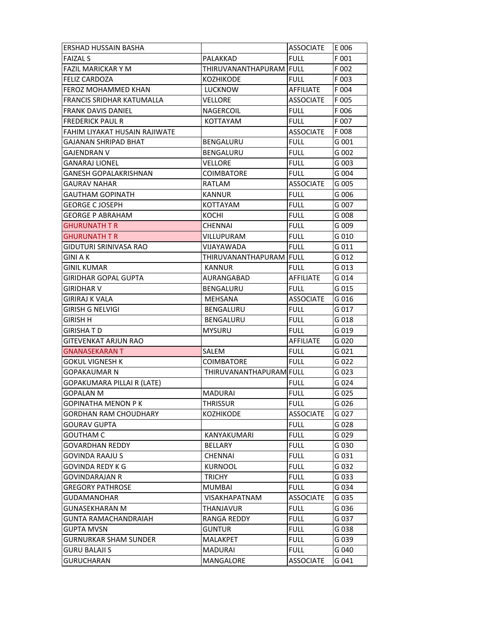| ERSHAD HUSSAIN BASHA          |                                | <b>ASSOCIATE</b> | E 006 |
|-------------------------------|--------------------------------|------------------|-------|
| <b>FAIZAL S</b>               | PALAKKAD                       | <b>FULL</b>      | F 001 |
| <b>FAZIL MARICKAR Y M</b>     | THIRUVANANTHAPURAM FULL        |                  | F 002 |
| FELIZ CARDOZA                 | KOZHIKODE                      | <b>FULL</b>      | F 003 |
| FEROZ MOHAMMED KHAN           | LUCKNOW                        | AFFILIATE        | F 004 |
| FRANCIS SRIDHAR KATUMALLA     | <b>VELLORE</b>                 | <b>ASSOCIATE</b> | F 005 |
| <b>FRANK DAVIS DANIEL</b>     | NAGERCOIL                      | <b>FULL</b>      | F 006 |
| <b>FREDERICK PAUL R</b>       | KOTTAYAM                       | <b>FULL</b>      | F 007 |
| FAHIM LIYAKAT HUSAIN RAJIWATE |                                | <b>ASSOCIATE</b> | F 008 |
| GAJANAN SHRIPAD BHAT          | BENGALURU                      | <b>FULL</b>      | G 001 |
| GAJENDRAN V                   | <b>BENGALURU</b>               | <b>FULL</b>      | G 002 |
| <b>GANARAJ LIONEL</b>         | <b>VELLORE</b>                 | <b>FULL</b>      | G 003 |
| GANESH GOPALAKRISHNAN         | <b>COIMBATORE</b>              | <b>FULL</b>      | G 004 |
| <b>GAURAV NAHAR</b>           | RATLAM                         | <b>ASSOCIATE</b> | G 005 |
| GAUTHAM GOPINATH              | <b>KANNUR</b>                  | <b>FULL</b>      | G 006 |
| <b>GEORGE C JOSEPH</b>        | KOTTAYAM                       | <b>FULL</b>      | G 007 |
| <b>GEORGE P ABRAHAM</b>       | KOCHI                          | <b>FULL</b>      | G 008 |
| <b>GHURUNATH T R</b>          | <b>CHENNAI</b>                 | <b>FULL</b>      | G 009 |
| GHURUNATH T R                 | VILLUPURAM                     | FULL             | G 010 |
| <b>GIDUTURI SRINIVASA RAO</b> | VIJAYAWADA                     | <b>FULL</b>      | G 011 |
| <b>GINI A K</b>               | THIRUVANANTHAPURAM FULL        |                  | G 012 |
| GINIL KUMAR                   | KANNUR                         | <b>FULL</b>      | G 013 |
| GIRIDHAR GOPAL GUPTA          | AURANGABAD                     | AFFILIATE        | G 014 |
| GIRIDHAR V                    | BENGALURU                      | <b>FULL</b>      | G 015 |
| <b>GIRIRAJ K VALA</b>         | MEHSANA                        | <b>ASSOCIATE</b> | G 016 |
| <b>GIRISH G NELVIGI</b>       | <b>BENGALURU</b>               | <b>FULL</b>      | G 017 |
| GIRISH H                      | <b>BENGALURU</b>               | <b>FULL</b>      | G 018 |
| GIRISHA T D                   | MYSURU                         | FULL             | G 019 |
| <b>GITEVENKAT ARJUN RAO</b>   |                                | AFFILIATE        | G 020 |
| GNANASEKARAN T                | SALEM                          | <b>FULL</b>      | G 021 |
| <b>GOKUL VIGNESH K</b>        | <b>COIMBATORE</b>              | <b>FULL</b>      | G 022 |
| <b>GOPAKAUMAR N</b>           | <b>THIRUVANANTHAPURAMIFULL</b> |                  | G 023 |
| GOPAKUMARA PILLAI R (LATE)    |                                | FULL             | G 024 |
| <b>GOPALAN M</b>              | MADURAI                        | <b>FULL</b>      | G 025 |
| <b>GOPINATHA MENON PK</b>     | THRISSUR                       | <b>FULL</b>      | G 026 |
| GORDHAN RAM CHOUDHARY         | KOZHIKODE                      | <b>ASSOCIATE</b> | G 027 |
| GOURAV GUPTA                  |                                | <b>FULL</b>      | G 028 |
| <b>GOUTHAM C</b>              | KANYAKUMARI                    | <b>FULL</b>      | G 029 |
| <b>GOVARDHAN REDDY</b>        | <b>BELLARY</b>                 | <b>FULL</b>      | G 030 |
| <b>GOVINDA RAAJU S</b>        | <b>CHENNAI</b>                 | <b>FULL</b>      | G 031 |
| GOVINDA REDY K G              | <b>KURNOOL</b>                 | <b>FULL</b>      | G 032 |
| GOVINDARAJAN R                | <b>TRICHY</b>                  | <b>FULL</b>      | G 033 |
| <b>GREGORY PATHROSE</b>       | <b>MUMBAI</b>                  | <b>FULL</b>      | G 034 |
| <b>GUDAMANOHAR</b>            | <b>VISAKHAPATNAM</b>           | <b>ASSOCIATE</b> | G 035 |
| GUNASEKHARAN M                | THANJAVUR                      | <b>FULL</b>      | G 036 |
| GUNTA RAMACHANDRAIAH          | RANGA REDDY                    | <b>FULL</b>      | G 037 |
| <b>GUPTA MVSN</b>             | <b>GUNTUR</b>                  | <b>FULL</b>      | G 038 |
| <b>GURNURKAR SHAM SUNDER</b>  | <b>MALAKPET</b>                | <b>FULL</b>      | G 039 |
| <b>GURU BALAJI S</b>          | <b>MADURAI</b>                 | <b>FULL</b>      | G 040 |
| <b>GURUCHARAN</b>             | MANGALORE                      | <b>ASSOCIATE</b> | G 041 |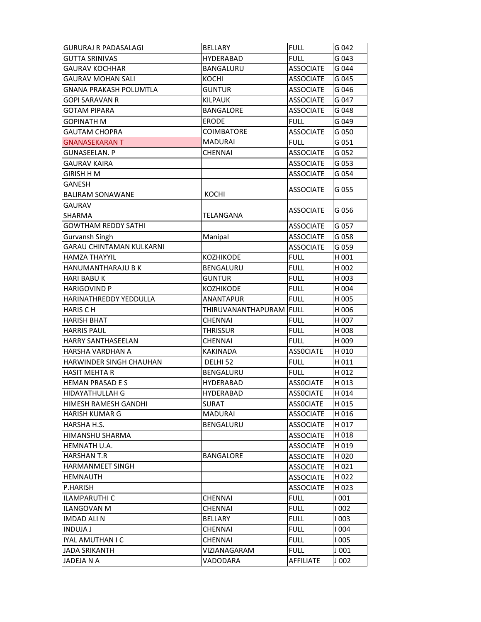| <b>GURURAJ R PADASALAGI</b>     | <b>BELLARY</b>     | <b>FULL</b>                          | G 042          |
|---------------------------------|--------------------|--------------------------------------|----------------|
| GUTTA SRINIVAS                  | <b>HYDERABAD</b>   | <b>FULL</b>                          | G 043          |
| <b>GAURAV KOCHHAR</b>           | BANGALURU          | <b>ASSOCIATE</b>                     | G 044          |
| <b>GAURAV MOHAN SALI</b>        | <b>KOCHI</b>       | <b>ASSOCIATE</b>                     | G 045          |
| <b>GNANA PRAKASH POLUMTLA</b>   | <b>GUNTUR</b>      | <b>ASSOCIATE</b>                     | G 046          |
| GOPI SARAVAN R                  | <b>KILPAUK</b>     | <b>ASSOCIATE</b>                     | G 047          |
| <b>GOTAM PIPARA</b>             | <b>BANGALORE</b>   | <b>ASSOCIATE</b>                     | G 048          |
| GOPINATH M                      | <b>ERODE</b>       | <b>FULL</b>                          | G 049          |
| <b>GAUTAM CHOPRA</b>            | <b>COIMBATORE</b>  | <b>ASSOCIATE</b>                     | G 050          |
| <b>GNANASEKARAN T</b>           | <b>MADURAI</b>     | FULL                                 | G 051          |
| GUNASEELAN. P                   | <b>CHENNAI</b>     | <b>ASSOCIATE</b>                     | G 052          |
| <b>GAURAV KAIRA</b>             |                    | <b>ASSOCIATE</b>                     | G 053          |
| GIRISH H M                      |                    | <b>ASSOCIATE</b>                     | G 054          |
| GANESH                          |                    |                                      |                |
| BALIRAM SONAWANE                | KOCHI              | <b>ASSOCIATE</b>                     | G 055          |
| <b>GAURAV</b>                   |                    |                                      |                |
| <b>SHARMA</b>                   | TELANGANA          | <b>ASSOCIATE</b>                     | G 056          |
| <b>GOWTHAM REDDY SATHI</b>      |                    | <b>ASSOCIATE</b>                     | G 057          |
| Gurvansh Singh                  | Manipal            | <b>ASSOCIATE</b>                     | G 058          |
| <b>GARAU CHINTAMAN KULKARNI</b> |                    | <b>ASSOCIATE</b>                     | G 059          |
| <b>HAMZA THAYYIL</b>            | <b>KOZHIKODE</b>   | <b>FULL</b>                          | H 001          |
| HANUMANTHARAJU B K              | BENGALURU          | <b>FULL</b>                          | H 002          |
| <b>HARI BABU K</b>              | <b>GUNTUR</b>      | <b>FULL</b>                          | H 003          |
| HARIGOVIND P                    | <b>KOZHIKODE</b>   | <b>FULL</b>                          | H 004          |
| HARINATHREDDY YEDDULLA          | <b>ANANTAPUR</b>   | <b>FULL</b>                          | H 005          |
|                                 |                    |                                      |                |
| <b>HARIS CH</b>                 | THIRUVANANTHAPURAM | <b>FULL</b>                          | H 006          |
| HARISH BHAT                     | CHENNAI            | <b>FULL</b>                          | H 007          |
| <b>HARRIS PAUL</b>              | <b>THRISSUR</b>    | <b>FULL</b>                          | H 008          |
| <b>HARRY SANTHASEELAN</b>       | <b>CHENNAI</b>     | <b>FULL</b>                          | H 009          |
| HARSHA VARDHAN A                | <b>KAKINADA</b>    | <b>ASSOCIATE</b>                     | H 010          |
| HARWINDER SINGH CHAUHAN         | DELHI 52           | <b>FULL</b>                          | H011           |
| <b>HASIT MEHTA R</b>            | <b>BENGALURU</b>   | <b>FULL</b>                          | H 012          |
| <b>HEMAN PRASAD E S</b>         | <b>HYDERABAD</b>   | <b>ASSOCIATE</b>                     | H 013          |
| HIDAYATHULLAH G                 |                    |                                      |                |
| HIMESH RAMESH GANDHI            | HYDERABAD<br>SURAT | <b>ASSOCIATE</b><br><b>ASSOCIATE</b> | H 014<br>H 015 |
| <b>HARISH KUMAR G</b>           | <b>MADURAI</b>     | <b>ASSOCIATE</b>                     | H 016          |
| HARSHA H.S.                     | <b>BENGALURU</b>   | <b>ASSOCIATE</b>                     | H 017          |
| HIMANSHU SHARMA                 |                    | <b>ASSOCIATE</b>                     | H018           |
| HEMNATH U.A.                    |                    | <b>ASSOCIATE</b>                     | H 019          |
| <b>HARSHAN T.R</b>              | <b>BANGALORE</b>   | <b>ASSOCIATE</b>                     | H 020          |
| <b>HARMANMEET SINGH</b>         |                    | <b>ASSOCIATE</b>                     | H021           |
| <b>HEMNAUTH</b>                 |                    | <b>ASSOCIATE</b>                     | H 022          |
| P.HARISH                        |                    | <b>ASSOCIATE</b>                     | H 023          |
| <b>ILAMPARUTHI C</b>            | <b>CHENNAI</b>     | <b>FULL</b>                          | 001            |
| <b>ILANGOVAN M</b>              | <b>CHENNAI</b>     | <b>FULL</b>                          | 1002           |
| <b>IMDAD ALI N</b>              | BELLARY            | <b>FULL</b>                          | l 003          |
| <b>INDUJA J</b>                 | <b>CHENNAI</b>     | <b>FULL</b>                          | <b>1004</b>    |
| IYAL AMUTHAN I C                | <b>CHENNAI</b>     | <b>FULL</b>                          | 1005           |
| <b>JADA SRIKANTH</b>            | VIZIANAGARAM       | <b>FULL</b>                          | J 001          |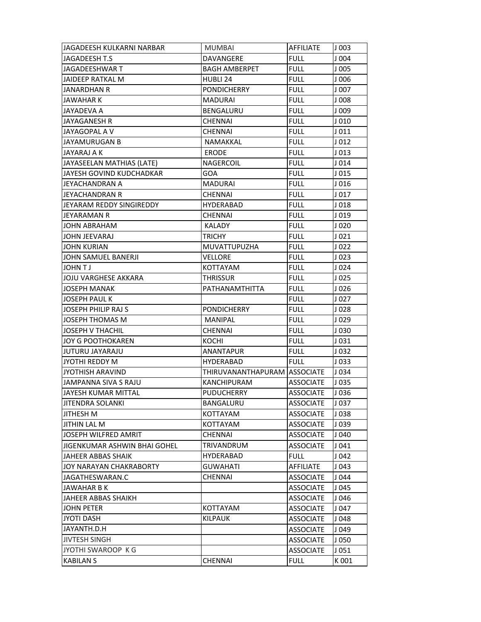| JAGADEESH KULKARNI NARBAR    | <b>MUMBAI</b>                | AFFILIATE        | J 003            |
|------------------------------|------------------------------|------------------|------------------|
| IJAGADEESH T.S               | DAVANGERE                    | <b>FULL</b>      | J004             |
| JAGADEESHWAR T               | <b>BAGH AMBERPET</b>         | <b>FULL</b>      | J005             |
| JAIDEEP RATKAL M             | HUBLI 24                     | <b>FULL</b>      | J006             |
| IJANARDHAN R                 | <b>PONDICHERRY</b>           | <b>FULL</b>      | J007             |
| JAWAHAR K                    | <b>MADURAI</b>               | FULL             | J008             |
| JAYADEVA A                   | BENGALURU                    | <b>FULL</b>      | J 009            |
| JAYAGANESH R                 | CHENNAI                      | <b>FULL</b>      | J010             |
| JAYAGOPAL A V                | CHENNAI                      | <b>FULL</b>      | $J$ 011          |
| JAYAMURUGAN B                | NAMAKKAL                     | <b>FULL</b>      | $J$ 012          |
| JAYARAJ A K                  | <b>ERODE</b>                 | <b>FULL</b>      | J <sub>013</sub> |
| JAYASEELAN MATHIAS (LATE)    | NAGERCOIL                    | <b>FULL</b>      | $J$ 014          |
| IJAYESH GOVIND KUDCHADKAR    | GOA                          | <b>FULL</b>      | $J$ 015          |
| JEYACHANDRAN A               | <b>MADURAI</b>               | <b>FULL</b>      | J016             |
| IJEYACHANDRAN R              | <b>CHENNAI</b>               | FULL             | J <sub>017</sub> |
| JEYARAM REDDY SINGIREDDY     | HYDERABAD                    | <b>FULL</b>      | J018             |
| IJEYARAMAN R                 | <b>CHENNAI</b>               | <b>FULL</b>      | J019             |
| JOHN ABRAHAM                 | <b>KALADY</b>                | <b>FULL</b>      | J <sub>020</sub> |
| JOHN JEEVARAJ                | TRICHY                       | <b>FULL</b>      | $J$ 021          |
| <b>JOHN KURIAN</b>           | <b>MUVATTUPUZHA</b>          | <b>FULL</b>      | J <sub>022</sub> |
| JOHN SAMUEL BANERJI          | VELLORE                      | <b>FULL</b>      | J023             |
| IJOHN T J                    | KOTTAYAM                     | <b>FULL</b>      | J <sub>024</sub> |
| IJOJU VARGHESE AKKARA        | <b>THRISSUR</b>              | <b>FULL</b>      | J <sub>025</sub> |
| IJOSEPH MANAK                | PATHANAMTHITTA               | FULL             | J <sub>026</sub> |
| <b>JOSEPH PAUL K</b>         |                              | <b>FULL</b>      | J <sub>027</sub> |
| JOSEPH PHILIP RAJ S          | <b>PONDICHERRY</b>           | <b>FULL</b>      | J028             |
| JOSEPH THOMAS M              | MANIPAL                      | <b>FULL</b>      | J029             |
| <b>JOSEPH V THACHIL</b>      | <b>CHENNAI</b>               | <b>FULL</b>      | J030             |
| JOY G POOTHOKAREN            | KOCHI                        | <b>FULL</b>      | J 031            |
| JUTURU JAYARAJU              | <b>ANANTAPUR</b>             | <b>FULL</b>      | J032             |
| JYOTHI REDDY M               | <b>HYDERABAD</b>             | <b>FULL</b>      | J 033            |
| IJYOTHISH ARAVIND            | THIRUVANANTHAPURAM ASSOCIATE |                  | J034             |
| JAMPANNA SIVA S RAJU         | KANCHIPURAM                  | <b>ASSOCIATE</b> | J035             |
| IJAYESH KUMAR MITTAL         | PUDUCHERRY                   | ASSOCIATE        | J 036            |
| <b>JITENDRA SOLANKI</b>      | BANGALURU                    | <b>ASSOCIATE</b> | J037             |
| <b>JITHESH M</b>             | KOTTAYAM                     | <b>ASSOCIATE</b> | J038             |
| <b>JITHIN LAL M</b>          | KOTTAYAM                     | <b>ASSOCIATE</b> | J039             |
| JOSEPH WILFRED AMRIT         | <b>CHENNAI</b>               | <b>ASSOCIATE</b> | J040             |
| JIGENKUMAR ASHWIN BHAI GOHEL | TRIVANDRUM                   | <b>ASSOCIATE</b> | J041             |
| JAHEER ABBAS SHAIK           | <b>HYDERABAD</b>             | <b>FULL</b>      | J042             |
| JOY NARAYAN CHAKRABORTY      | <b>GUWAHATI</b>              | AFFILIATE        | J043             |
| JAGATHESWARAN.C              | CHENNAI                      | <b>ASSOCIATE</b> | J 044            |
| <b>JAWAHAR B K</b>           |                              | <b>ASSOCIATE</b> | J045             |
| JAHEER ABBAS SHAIKH          |                              | <b>ASSOCIATE</b> | J046             |
| JOHN PETER                   | KOTTAYAM                     | <b>ASSOCIATE</b> | J047             |
| <b>JYOTI DASH</b>            | <b>KILPAUK</b>               | <b>ASSOCIATE</b> | J 048            |
| JAYANTH.D.H                  |                              | <b>ASSOCIATE</b> | J049             |
| <b>JIVTESH SINGH</b>         |                              | <b>ASSOCIATE</b> | J 050            |
| JYOTHI SWAROOP KG            |                              | <b>ASSOCIATE</b> | J051             |
| <b>KABILAN S</b>             | <b>CHENNAI</b>               | <b>FULL</b>      | K 001            |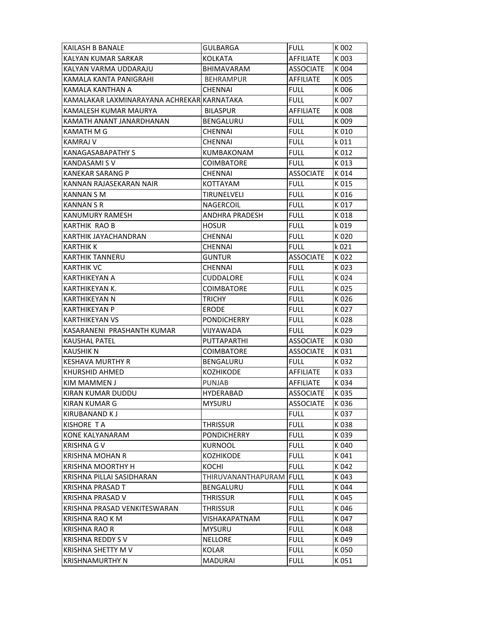| KAILASH B BANALE                           | GULBARGA              | <b>FULL</b>      | K 002 |
|--------------------------------------------|-----------------------|------------------|-------|
| KALYAN KUMAR SARKAR                        | <b>KOLKATA</b>        | <b>AFFILIATE</b> | K 003 |
| KALYAN VARMA UDDARAJU                      | BHIMAVARAM            | <b>ASSOCIATE</b> | K 004 |
| KAMALA KANTA PANIGRAHI                     | <b>BEHRAMPUR</b>      | <b>AFFILIATE</b> | K 005 |
| KAMALA KANTHAN A                           | <b>CHENNAI</b>        | <b>FULL</b>      | K 006 |
| KAMALAKAR LAXMINARAYANA ACHREKAR KARNATAKA |                       | <b>FULL</b>      | K 007 |
| KAMALESH KUMAR MAURYA                      | <b>BILASPUR</b>       | <b>AFFILIATE</b> | K 008 |
| KAMATH ANANT JANARDHANAN                   | BENGALURU             | <b>FULL</b>      | K 009 |
| KAMATH M G                                 | <b>CHENNAI</b>        | <b>FULL</b>      | K010  |
| KAMRAJ V                                   | <b>CHENNAI</b>        | <b>FULL</b>      | k 011 |
| <b>KANAGASABAPATHY S</b>                   | KUMBAKONAM            | <b>FULL</b>      | K 012 |
| KANDASAMI S V                              | <b>COIMBATORE</b>     | <b>FULL</b>      | K013  |
| <b>KANEKAR SARANG P</b>                    | <b>CHENNAI</b>        | <b>ASSOCIATE</b> | K014  |
| KANNAN RAJASEKARAN NAIR                    | KOTTAYAM              | <b>FULL</b>      | K015  |
| <b>KANNAN S M</b>                          | TIRUNELVELI           | <b>FULL</b>      | K 016 |
| KANNAN S R                                 | NAGERCOIL             | <b>FULL</b>      | K 017 |
| KANUMURY RAMESH                            | <b>ANDHRA PRADESH</b> | <b>FULL</b>      | K018  |
| KARTHIK RAO B                              | <b>HOSUR</b>          | <b>FULL</b>      | k 019 |
| KARTHIK JAYACHANDRAN                       | CHENNAI               | <b>FULL</b>      | K020  |
| <b>KARTHIK K</b>                           | <b>CHENNAI</b>        | <b>FULL</b>      | k 021 |
| <b>KARTHIK TANNERU</b>                     | <b>GUNTUR</b>         | ASSOCIATE        | K022  |
| <b>KARTHIK VC</b>                          | <b>CHENNAI</b>        | <b>FULL</b>      | K023  |
| KARTHIKEYAN A                              | CUDDALORE             | <b>FULL</b>      | K 024 |
| KARTHIKEYAN K.                             | <b>COIMBATORE</b>     | <b>FULL</b>      | K 025 |
| KARTHIKEYAN N                              | <b>TRICHY</b>         | <b>FULL</b>      | K 026 |
| KARTHIKEYAN P                              | <b>ERODE</b>          | <b>FULL</b>      | K 027 |
| KARTHIKEYAN VS                             | <b>PONDICHERRY</b>    | <b>FULL</b>      | K028  |
| KASARANENI PRASHANTH KUMAR                 | VIJYAWADA             | <b>FULL</b>      | K029  |
| <b>KAUSHAL PATEL</b>                       | <b>PUTTAPARTHI</b>    | <b>ASSOCIATE</b> | K030  |
| <b>KAUSHIK N</b>                           | <b>COIMBATORE</b>     | <b>ASSOCIATE</b> | K031  |
| <b>KESHAVA MURTHY R</b>                    | BENGALURU             | <b>FULL</b>      | K 032 |
| KHURSHID AHMED                             | KOZHIKODE             | <b>AFFILIATE</b> | K033  |
| KIM MAMMEN J                               | <b>PUNJAB</b>         | <b>AFFILIATE</b> | K034  |
| KIRAN KUMAR DUDDU                          | <b>HYDERABAD</b>      | ASSOCIATE        | K035  |
| KIRAN KUMAR G                              | <b>MYSURU</b>         | <b>ASSOCIATE</b> | K 036 |
| KIRUBANAND K J                             |                       | <b>FULL</b>      | K037  |
| <b>KISHORE TA</b>                          | <b>THRISSUR</b>       | <b>FULL</b>      | K038  |
| KONE KALYANARAM                            | <b>PONDICHERRY</b>    | <b>FULL</b>      | K039  |
| <b>KRISHNA GV</b>                          | <b>KURNOOL</b>        | <b>FULL</b>      | K040  |
| <b>KRISHNA MOHAN R</b>                     | <b>KOZHIKODE</b>      | <b>FULL</b>      | K041  |
| <b>KRISHNA MOORTHY H</b>                   | KOCHI                 | <b>FULL</b>      | K042  |
| KRISHNA PILLAI SASIDHARAN                  | THIRUVANANTHAPURAM    | <b>FULL</b>      | K043  |
| <b>KRISHNA PRASAD T</b>                    | BENGALURU             | <b>FULL</b>      | K044  |
| KRISHNA PRASAD V                           | <b>THRISSUR</b>       | <b>FULL</b>      | K045  |
| KRISHNA PRASAD VENKITESWARAN               | <b>THRISSUR</b>       | <b>FULL</b>      | K046  |
| KRISHNA RAO K M                            | VISHAKAPATNAM         | <b>FULL</b>      | K047  |
| <b>KRISHNA RAO R</b>                       | <b>MYSURU</b>         | <b>FULL</b>      | K048  |
| <b>KRISHNA REDDY SV</b>                    | <b>NELLORE</b>        | <b>FULL</b>      | K049  |
| KRISHNA SHETTY M V                         | KOLAR                 | <b>FULL</b>      | K 050 |
| <b>KRISHNAMURTHY N</b>                     | <b>MADURAI</b>        | <b>FULL</b>      | K 051 |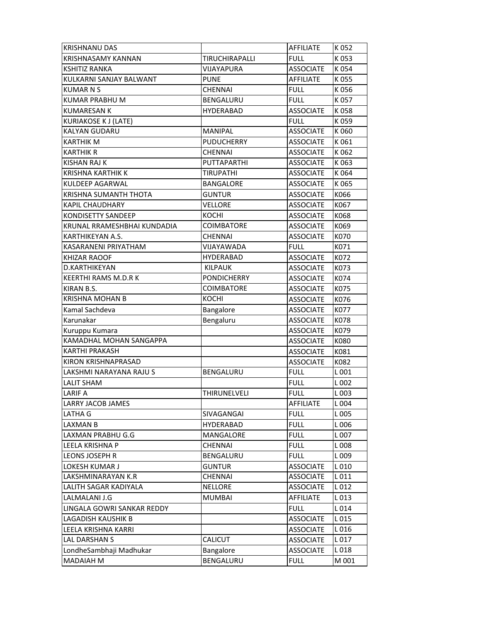| <b>KRISHNANU DAS</b>        |                       | AFFILIATE        | K052  |
|-----------------------------|-----------------------|------------------|-------|
| <b>KRISHNASAMY KANNAN</b>   | <b>TIRUCHIRAPALLI</b> | <b>FULL</b>      | K053  |
| <b>KSHITIZ RANKA</b>        | VIJAYAPURA            | <b>ASSOCIATE</b> | K054  |
| KULKARNI SANJAY BALWANT     | <b>PUNE</b>           | AFFILIATE        | K055  |
| <b>KUMAR N S</b>            | <b>CHENNAI</b>        | <b>FULL</b>      | K056  |
| <b>KUMAR PRABHU M</b>       | BENGALURU             | <b>FULL</b>      | K 057 |
| <b>KUMARESAN K</b>          | <b>HYDERABAD</b>      | <b>ASSOCIATE</b> | K058  |
| <b>KURIAKOSE K J (LATE)</b> |                       | <b>FULL</b>      | K059  |
| <b>KALYAN GUDARU</b>        | <b>MANIPAL</b>        | <b>ASSOCIATE</b> | K060  |
| KARTHIK M                   | <b>PUDUCHERRY</b>     | <b>ASSOCIATE</b> | K061  |
| <b>KARTHIK R</b>            | <b>CHENNAI</b>        | <b>ASSOCIATE</b> | K062  |
| <b>KISHAN RAJ K</b>         | PUTTAPARTHI           | <b>ASSOCIATE</b> | K063  |
| <b>KRISHNA KARTHIK K</b>    | <b>TIRUPATHI</b>      | <b>ASSOCIATE</b> | K064  |
| KULDEEP AGARWAL             | <b>BANGALORE</b>      | <b>ASSOCIATE</b> | K065  |
| KRISHNA SUMANTH THOTA       | <b>GUNTUR</b>         | <b>ASSOCIATE</b> | K066  |
| <b>KAPIL CHAUDHARY</b>      | <b>VELLORE</b>        | <b>ASSOCIATE</b> | K067  |
| KONDISETTY SANDEEP          | KOCHI                 | <b>ASSOCIATE</b> | K068  |
| KRUNAL RRAMESHBHAI KUNDADIA | <b>COIMBATORE</b>     | <b>ASSOCIATE</b> | K069  |
| KARTHIKEYAN A.S.            | <b>CHENNAI</b>        | <b>ASSOCIATE</b> | K070  |
| KASARANENI PRIYATHAM        | VIJAYAWADA            | <b>FULL</b>      | K071  |
| KHIZAR RAOOF                | <b>HYDERABAD</b>      | <b>ASSOCIATE</b> | K072  |
| D.KARTHIKEYAN               | <b>KILPAUK</b>        | <b>ASSOCIATE</b> | K073  |
| KEERTHI RAMS M.D.R K        | <b>PONDICHERRY</b>    | <b>ASSOCIATE</b> | K074  |
| KIRAN B.S.                  | <b>COIMBATORE</b>     | <b>ASSOCIATE</b> | K075  |
| <b>KRISHNA MOHAN B</b>      | KOCHI                 | <b>ASSOCIATE</b> | K076  |
| Kamal Sachdeva              | Bangalore             | <b>ASSOCIATE</b> | K077  |
| Karunakar                   | Bengaluru             | <b>ASSOCIATE</b> | K078  |
| Kuruppu Kumara              |                       | <b>ASSOCIATE</b> | K079  |
| KAMADHAL MOHAN SANGAPPA     |                       | <b>ASSOCIATE</b> | K080  |
| KARTHI PRAKASH              |                       | <b>ASSOCIATE</b> | K081  |
| KIRON KRISHNAPRASAD         |                       | <b>ASSOCIATE</b> | K082  |
| LAKSHMI NARAYANA RAJU S     | BENGALURU             | <b>FULL</b>      | L001  |
| LALIT SHAM                  |                       | FULL             | L 002 |
| <b>LARIF A</b>              | THIRUNELVELI          | <b>FULL</b>      | L003  |
| LARRY JACOB JAMES           |                       | AFFILIATE        | L 004 |
| LATHA G                     | SIVAGANGAI            | <b>FULL</b>      | L005  |
| LAXMAN B                    | HYDERABAD             | <b>FULL</b>      | L006  |
| LAXMAN PRABHU G.G           | MANGALORE             | <b>FULL</b>      | L007  |
| LEELA KRISHNA P             | <b>CHENNAI</b>        | <b>FULL</b>      | L008  |
| LEONS JOSEPH R              | BENGALURU             | <b>FULL</b>      | L009  |
| LOKESH KUMAR J              | <b>GUNTUR</b>         | <b>ASSOCIATE</b> | L010  |
| LAKSHMINARAYAN K.R          | CHENNAI               | <b>ASSOCIATE</b> | L011  |
| LALITH SAGAR KADIYALA       | <b>NELLORE</b>        | <b>ASSOCIATE</b> | L 012 |
| LALMALANI J.G               | <b>MUMBAI</b>         | AFFILIATE        | L013  |
| LINGALA GOWRI SANKAR REDDY  |                       | <b>FULL</b>      | L 014 |
| LAGADISH KAUSHIK B          |                       | <b>ASSOCIATE</b> | L 015 |
| LEELA KRISHNA KARRI         |                       | <b>ASSOCIATE</b> | L016  |
| LAL DARSHAN S               | <b>CALICUT</b>        | <b>ASSOCIATE</b> | L017  |
| LondheSambhaji Madhukar     | Bangalore             | <b>ASSOCIATE</b> | L018  |
| MADAIAH M                   | BENGALURU             | <b>FULL</b>      | M 001 |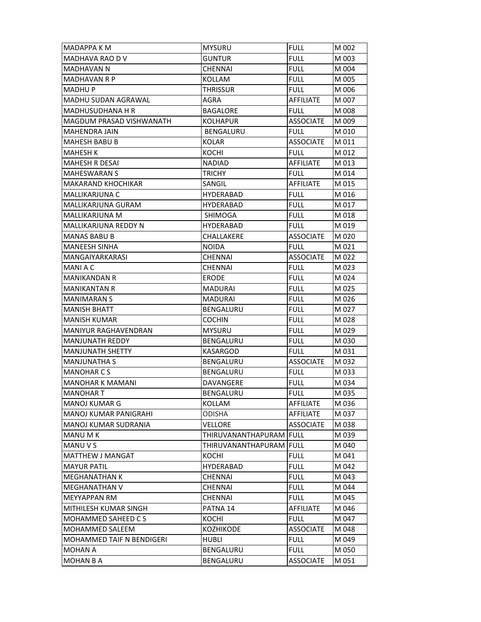| <b>MADAPPA K M</b>               | <b>MYSURU</b>           | <b>FULL</b>      | M 002 |
|----------------------------------|-------------------------|------------------|-------|
| MADHAVA RAO D V                  | <b>GUNTUR</b>           | <b>FULL</b>      | M 003 |
| <b>MADHAVAN N</b>                | <b>CHENNAI</b>          | <b>FULL</b>      | M 004 |
| <b>MADHAVAN R P</b>              | KOLLAM                  | <b>FULL</b>      | M 005 |
| <b>MADHUP</b>                    | <b>THRISSUR</b>         | <b>FULL</b>      | M 006 |
| MADHU SUDAN AGRAWAL              | AGRA                    | AFFILIATE        | M 007 |
| <b>MADHUSUDHANA H R</b>          | <b>BAGALORE</b>         | <b>FULL</b>      | M 008 |
| <b>MAGDUM PRASAD VISHWANATH</b>  | <b>KOLHAPUR</b>         | <b>ASSOCIATE</b> | M 009 |
| <b>MAHENDRA JAIN</b>             | BENGALURU               | <b>FULL</b>      | M 010 |
| MAHESH BABU B                    | KOLAR                   | <b>ASSOCIATE</b> | M 011 |
| <b>MAHESH K</b>                  | KOCHI                   | <b>FULL</b>      | M 012 |
| <b>MAHESH R DESAI</b>            | <b>NADIAD</b>           | AFFILIATE        | M 013 |
| <b>MAHESWARAN S</b>              | <b>TRICHY</b>           | <b>FULL</b>      | M 014 |
| <b>MAKARAND KHOCHIKAR</b>        | SANGIL                  | AFFILIATE        | M 015 |
| MALLIKARJUNA C                   | <b>HYDERABAD</b>        | FULL             | M 016 |
| MALLIKARJUNA GURAM               | <b>HYDERABAD</b>        | <b>FULL</b>      | M 017 |
| <b>MALLIKARJUNA M</b>            | <b>SHIMOGA</b>          | <b>FULL</b>      | M 018 |
| MALLIKARJUNA REDDY N             | HYDERABAD               | <b>FULL</b>      | M 019 |
| MANAS BABU B                     | CHALLAKERE              | <b>ASSOCIATE</b> | M 020 |
| <b>MANEESH SINHA</b>             | <b>NOIDA</b>            | <b>FULL</b>      | M 021 |
| MANGAIYARKARASI                  | <b>CHENNAI</b>          | <b>ASSOCIATE</b> | M 022 |
| <b>MANIAC</b>                    | <b>CHENNAI</b>          | <b>FULL</b>      | M 023 |
| <b>MANIKANDAN R</b>              | <b>ERODE</b>            | <b>FULL</b>      | M 024 |
| <b>MANIKANTAN R</b>              | MADURAI                 | FULL             | M 025 |
| <b>MANIMARAN S</b>               | <b>MADURAI</b>          | <b>FULL</b>      | M 026 |
| <b>MANISH BHATT</b>              | <b>BENGALURU</b>        | <b>FULL</b>      | M 027 |
| MANISH KUMAR                     | <b>COCHIN</b>           | <b>FULL</b>      | M 028 |
| MANIYUR RAGHAVENDRAN             | <b>MYSURU</b>           | <b>FULL</b>      | M 029 |
| <b>MANJUNATH REDDY</b>           | BENGALURU               | <b>FULL</b>      | M 030 |
| <b>MANJUNATH SHETTY</b>          | KASARGOD                | <b>FULL</b>      | M 031 |
| <b>MANJUNATHA S</b>              | <b>BENGALURU</b>        | <b>ASSOCIATE</b> | M 032 |
| <b>MANOHARCS</b>                 | BENGALURU               | <b>FULL</b>      | M 033 |
| <b>MANOHAR K MAMANI</b>          | DAVANGERE               | FULL             | M 034 |
| <b>MANOHAR T</b>                 | BENGALURU               | <b>FULL</b>      | M 035 |
| MANOJ KUMAR G                    | KOLLAM                  | AFFILIATE        | M 036 |
| IMANOJ KUMAR PANIGRAHI           | <b>ODISHA</b>           | AFFILIATE        | M 037 |
| MANOJ KUMAR SUDRANIA             | VELLORE                 | <b>ASSOCIATE</b> | M 038 |
| <b>MANU MK</b>                   | THIRUVANANTHAPURAM FULL |                  | M 039 |
| MANU V S                         | THIRUVANANTHAPURAM FULL |                  | M 040 |
| <b>MATTHEW J MANGAT</b>          | KOCHI                   | <b>FULL</b>      | M 041 |
| <b>MAYUR PATIL</b>               | <b>HYDERABAD</b>        | <b>FULL</b>      | M 042 |
| <b>MEGHANATHAN K</b>             | <b>CHENNAI</b>          | <b>FULL</b>      | M 043 |
| <b>MEGHANATHAN V</b>             | CHENNAI                 | <b>FULL</b>      | M 044 |
| MEYYAPPAN RM                     | CHENNAI                 | <b>FULL</b>      | M 045 |
| MITHILESH KUMAR SINGH            | PATNA 14                | AFFILIATE        | M 046 |
| MOHAMMED SAHEED CS               | KOCHI                   | <b>FULL</b>      | M 047 |
| <b>MOHAMMED SALEEM</b>           | <b>KOZHIKODE</b>        | <b>ASSOCIATE</b> | M 048 |
| <b>MOHAMMED TAIF N BENDIGERI</b> | <b>HUBLI</b>            | <b>FULL</b>      | M 049 |
| <b>MOHAN A</b>                   | BENGALURU               | <b>FULL</b>      | M 050 |
| <b>MOHAN B A</b>                 | BENGALURU               | <b>ASSOCIATE</b> | M 051 |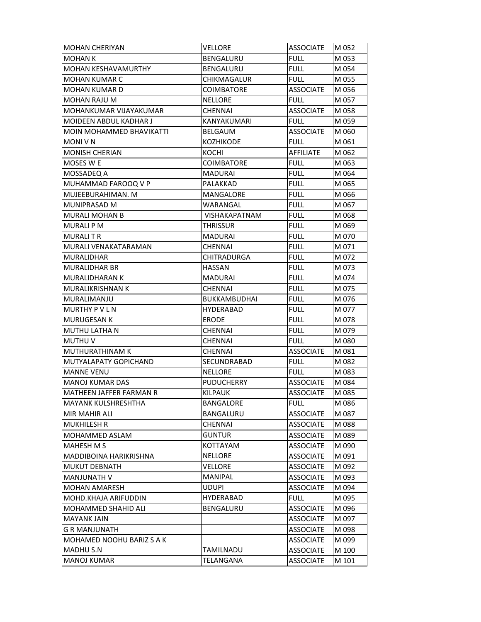| <b>MOHAN CHERIYAN</b>            | <b>VELLORE</b>       | <b>ASSOCIATE</b> | M 052 |
|----------------------------------|----------------------|------------------|-------|
| <b>MOHAN K</b>                   | <b>BENGALURU</b>     | <b>FULL</b>      | M 053 |
| <b>MOHAN KESHAVAMURTHY</b>       | BENGALURU            | <b>FULL</b>      | M 054 |
| <b>MOHAN KUMAR C</b>             | CHIKMAGALUR          | <b>FULL</b>      | M 055 |
| <b>MOHAN KUMAR D</b>             | COIMBATORE           | <b>ASSOCIATE</b> | M 056 |
| <b>MOHAN RAJU M</b>              | <b>NELLORE</b>       | <b>FULL</b>      | M 057 |
| <b>MOHANKUMAR VIJAYAKUMAR</b>    | <b>CHENNAI</b>       | <b>ASSOCIATE</b> | M 058 |
| MOIDEEN ABDUL KADHAR J           | KANYAKUMARI          | <b>FULL</b>      | M 059 |
| <b>MOIN MOHAMMED BHAVIKATTI</b>  | <b>BELGAUM</b>       | <b>ASSOCIATE</b> | M 060 |
| <b>MONI V N</b>                  | KOZHIKODE            | <b>FULL</b>      | M 061 |
| <b>MONISH CHERIAN</b>            | <b>KOCHI</b>         | <b>AFFILIATE</b> | M 062 |
| MOSES W E                        | <b>COIMBATORE</b>    | <b>FULL</b>      | M 063 |
| MOSSADEQ A                       | MADURAI              | <b>FULL</b>      | M 064 |
| MUHAMMAD FAROOQ V P              | PALAKKAD             | <b>FULL</b>      | M 065 |
| MUJEEBURAHIMAN. M                | MANGALORE            | <b>FULL</b>      | M 066 |
| <b>MUNIPRASAD M</b>              | WARANGAL             | <b>FULL</b>      | M 067 |
| <b>MURALI MOHAN B</b>            | <b>VISHAKAPATNAM</b> | <b>FULL</b>      | M 068 |
| <b>MURALI P M</b>                | <b>THRISSUR</b>      | <b>FULL</b>      | M 069 |
| MURALI T R                       | MADURAI              | <b>FULL</b>      | M 070 |
| MURALI VENAKATARAMAN             | <b>CHENNAI</b>       | <b>FULL</b>      | M 071 |
| <b>MURALIDHAR</b>                | <b>CHITRADURGA</b>   | <b>FULL</b>      | M 072 |
| MURALIDHAR BR                    | <b>HASSAN</b>        | <b>FULL</b>      | M 073 |
| <b>MURALIDHARAN K</b>            | <b>MADURAI</b>       | <b>FULL</b>      | M 074 |
| <b>MURALIKRISHNAN K</b>          | CHENNAI              | <b>FULL</b>      | M 075 |
| MURALIMANJU                      | <b>BUKKAMBUDHAI</b>  | <b>FULL</b>      | M 076 |
| <b>MURTHY P V L N</b>            | HYDERABAD            | <b>FULL</b>      | M 077 |
| <b>MURUGESAN K</b>               | <b>ERODE</b>         | <b>FULL</b>      | M 078 |
| MUTHU LATHA N                    | CHENNAI              | <b>FULL</b>      | M 079 |
| <b>MUTHU V</b>                   | CHENNAI              | <b>FULL</b>      | M 080 |
| <b>MUTHURATHINAM K</b>           | <b>CHENNAI</b>       | <b>ASSOCIATE</b> | M 081 |
| MUTYALAPATY GOPICHAND            | SECUNDRABAD          | <b>FULL</b>      | M 082 |
| <b>MANNE VENU</b>                | <b>NELLORE</b>       | <b>FULL</b>      | M 083 |
| <b>MANOJ KUMAR DAS</b>           | <b>PUDUCHERRY</b>    | <b>ASSOCIATE</b> | M 084 |
| MATHEEN JAFFER FARMAN R          | KILPAUK              | ASSOCIATE        | M 085 |
| <b>MAYANK KULSHRESHTHA</b>       | BANGALORE            | <b>FULL</b>      | M 086 |
| MIR MAHIR ALI                    | BANGALURU            | <b>ASSOCIATE</b> | M 087 |
| <b>MUKHILESH R</b>               | <b>CHENNAI</b>       | <b>ASSOCIATE</b> | M 088 |
| <b>MOHAMMED ASLAM</b>            | <b>GUNTUR</b>        | <b>ASSOCIATE</b> | M 089 |
| <b>MAHESH M S</b>                | <b>KOTTAYAM</b>      | <b>ASSOCIATE</b> | M 090 |
| <b>MADDIBOINA HARIKRISHNA</b>    | <b>NELLORE</b>       | <b>ASSOCIATE</b> | M 091 |
| <b>MUKUT DEBNATH</b>             | VELLORE              | <b>ASSOCIATE</b> | M 092 |
| <b>MANJUNATH V</b>               | <b>MANIPAL</b>       | <b>ASSOCIATE</b> | M 093 |
| <b>MOHAN AMARESH</b>             | <b>UDUPI</b>         | <b>ASSOCIATE</b> | M 094 |
| MOHD.KHAJA ARIFUDDIN             | <b>HYDERABAD</b>     | <b>FULL</b>      | M 095 |
| <b>MOHAMMED SHAHID ALI</b>       | BENGALURU            | <b>ASSOCIATE</b> | M 096 |
| MAYANK JAIN                      |                      | <b>ASSOCIATE</b> | M 097 |
| <b>G R MANJUNATH</b>             |                      | <b>ASSOCIATE</b> | M 098 |
| <b>MOHAMED NOOHU BARIZ S A K</b> |                      | <b>ASSOCIATE</b> | M 099 |
| <b>MADHU S.N</b>                 | TAMILNADU            | <b>ASSOCIATE</b> | M 100 |
|                                  |                      |                  |       |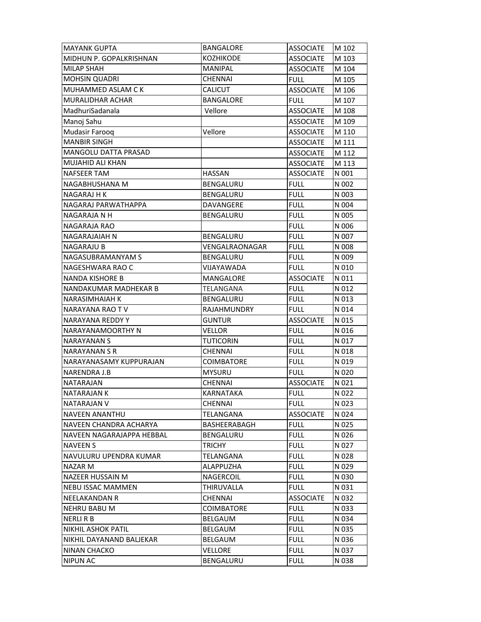| <b>MAYANK GUPTA</b>         | <b>BANGALORE</b>  | <b>ASSOCIATE</b> | M 102 |
|-----------------------------|-------------------|------------------|-------|
| MIDHUN P. GOPALKRISHNAN     | <b>KOZHIKODE</b>  | <b>ASSOCIATE</b> | M 103 |
| <b>MILAP SHAH</b>           | <b>MANIPAL</b>    | <b>ASSOCIATE</b> | M 104 |
| <b>MOHSIN QUADRI</b>        | <b>CHENNAI</b>    | <b>FULL</b>      | M 105 |
| <b>MUHAMMED ASLAM CK</b>    | <b>CALICUT</b>    | <b>ASSOCIATE</b> | M 106 |
| <b>MURALIDHAR ACHAR</b>     | <b>BANGALORE</b>  | <b>FULL</b>      | M 107 |
| MadhuriSadanala             | Vellore           | <b>ASSOCIATE</b> | M 108 |
| Manoj Sahu                  |                   | <b>ASSOCIATE</b> | M 109 |
| Mudasir Farooq              | Vellore           | <b>ASSOCIATE</b> | M 110 |
| <b>MANBIR SINGH</b>         |                   | <b>ASSOCIATE</b> | M 111 |
| <b>MANGOLU DATTA PRASAD</b> |                   | <b>ASSOCIATE</b> | M 112 |
| <b>MUJAHID ALI KHAN</b>     |                   | <b>ASSOCIATE</b> | M 113 |
| <b>NAFSEER TAM</b>          | <b>HASSAN</b>     | <b>ASSOCIATE</b> | N 001 |
| NAGABHUSHANA M              | BENGALURU         | <b>FULL</b>      | N 002 |
| NAGARAJ H K                 | BENGALURU         | <b>FULL</b>      | N 003 |
| NAGARAJ PARWATHAPPA         | DAVANGERE         | <b>FULL</b>      | N 004 |
| NAGARAJA N H                | <b>BENGALURU</b>  | <b>FULL</b>      | N 005 |
| NAGARAJA RAO                |                   | <b>FULL</b>      | N 006 |
| NAGARAJAIAH N               | BENGALURU         | <b>FULL</b>      | N 007 |
| NAGARAJU B                  | VENGALRAONAGAR    | <b>FULL</b>      | N 008 |
| NAGASUBRAMANYAM S           | BENGALURU         | <b>FULL</b>      | N 009 |
| NAGESHWARA RAO C            | VIJAYAWADA        | <b>FULL</b>      | N 010 |
| <b>NANDA KISHORE B</b>      | MANGALORE         | <b>ASSOCIATE</b> | N 011 |
| NANDAKUMAR MADHEKAR B       | TELANGANA         | <b>FULL</b>      | N 012 |
| <b>NARASIMHAIAH K</b>       | BENGALURU         | <b>FULL</b>      | N 013 |
| NARAYANA RAO TV             | RAJAHMUNDRY       | <b>FULL</b>      | N 014 |
| NARAYANA REDDY Y            | <b>GUNTUR</b>     | <b>ASSOCIATE</b> | N 015 |
| NARAYANAMOORTHY N           | <b>VELLOR</b>     | <b>FULL</b>      | N 016 |
| NARAYANAN S                 | <b>TUTICORIN</b>  | <b>FULL</b>      | N 017 |
| NARAYANAN S R               | <b>CHENNAI</b>    | <b>FULL</b>      | N 018 |
| NARAYANASAMY KUPPURAJAN     | <b>COIMBATORE</b> | <b>FULL</b>      | N 019 |
| NARENDRA J.B                | <b>MYSURU</b>     | <b>FULL</b>      | N 020 |
| <b>NATARAJAN</b>            | <b>CHENNAI</b>    | <b>ASSOCIATE</b> | N 021 |
| <b>NATARAJAN K</b>          | KARNATAKA         | <b>FULL</b>      | N 022 |
| <b>NATARAJAN V</b>          | <b>CHENNAI</b>    | <b>FULL</b>      | N 023 |
| <b>NAVEEN ANANTHU</b>       | TELANGANA         | <b>ASSOCIATE</b> | N 024 |
| NAVEEN CHANDRA ACHARYA      | BASHEERABAGH      | <b>FULL</b>      | N 025 |
| NAVEEN NAGARAJAPPA HEBBAL   | BENGALURU         | <b>FULL</b>      | N 026 |
| <b>NAVEEN S</b>             | <b>TRICHY</b>     | <b>FULL</b>      | N 027 |
| NAVULURU UPENDRA KUMAR      | TELANGANA         | <b>FULL</b>      | N 028 |
| NAZAR M                     | ALAPPUZHA         | <b>FULL</b>      | N 029 |
| NAZEER HUSSAIN M            | <b>NAGERCOIL</b>  | <b>FULL</b>      | N 030 |
| <b>NEBU ISSAC MAMMEN</b>    | THIRUVALLA        | <b>FULL</b>      | N 031 |
| NEELAKANDAN R               | <b>CHENNAI</b>    | <b>ASSOCIATE</b> | N 032 |
| <b>NEHRU BABU M</b>         | <b>COIMBATORE</b> | <b>FULL</b>      | N 033 |
| <b>NERLI R B</b>            | <b>BELGAUM</b>    | <b>FULL</b>      | N 034 |
| <b>NIKHIL ASHOK PATIL</b>   | BELGAUM           | <b>FULL</b>      | N 035 |
| NIKHIL DAYANAND BALJEKAR    | BELGAUM           | <b>FULL</b>      | N 036 |
| <b>NINAN CHACKO</b>         | VELLORE           | <b>FULL</b>      | N 037 |
| <b>NIPUN AC</b>             | BENGALURU         | <b>FULL</b>      | N 038 |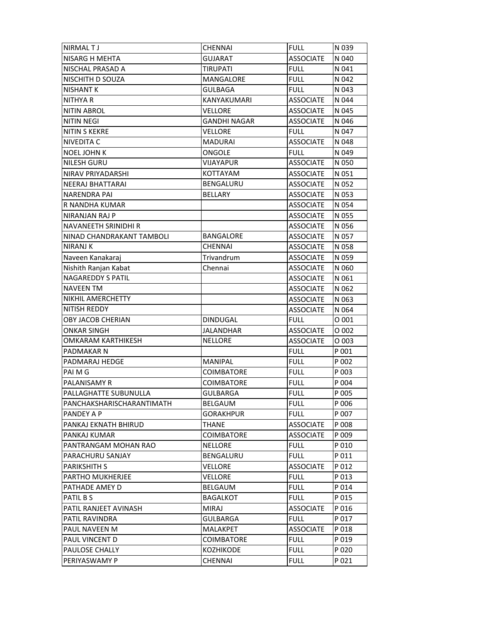| <b>NIRMALTJ</b>           | CHENNAI             | <b>FULL</b>      | N 039 |
|---------------------------|---------------------|------------------|-------|
| NISARG H MEHTA            | <b>GUJARAT</b>      | <b>ASSOCIATE</b> | N 040 |
| NISCHAL PRASAD A          | <b>TIRUPATI</b>     | <b>FULL</b>      | N 041 |
| NISCHITH D SOUZA          | MANGALORE           | <b>FULL</b>      | N 042 |
| <b>NISHANT K</b>          | <b>GULBAGA</b>      | <b>FULL</b>      | N 043 |
| <b>NITHYA R</b>           | KANYAKUMARI         | <b>ASSOCIATE</b> | N 044 |
| <b>NITIN ABROL</b>        | VELLORE             | <b>ASSOCIATE</b> | N 045 |
| <b>NITIN NEGI</b>         | <b>GANDHI NAGAR</b> | <b>ASSOCIATE</b> | N 046 |
| <b>NITIN S KEKRE</b>      | VELLORE             | <b>FULL</b>      | N 047 |
| NIVEDITA C                | <b>MADURAI</b>      | <b>ASSOCIATE</b> | N 048 |
| <b>NOEL JOHN K</b>        | ONGOLE              | <b>FULL</b>      | N 049 |
| NILESH GURU               | <b>VIJAYAPUR</b>    | <b>ASSOCIATE</b> | N 050 |
| NIRAV PRIYADARSHI         | <b>KOTTAYAM</b>     | <b>ASSOCIATE</b> | N 051 |
| NEERAJ BHATTARAI          | BENGALURU           | <b>ASSOCIATE</b> | N 052 |
| NARENDRA PAI              | <b>BELLARY</b>      | <b>ASSOCIATE</b> | N 053 |
| R NANDHA KUMAR            |                     | <b>ASSOCIATE</b> | N 054 |
| NIRANJAN RAJ P            |                     | <b>ASSOCIATE</b> | N 055 |
| NAVANEETH SRINIDHI R      |                     | <b>ASSOCIATE</b> | N 056 |
| NINAD CHANDRAKANT TAMBOLI | <b>BANGALORE</b>    | <b>ASSOCIATE</b> | N 057 |
| NIRANJ K                  | <b>CHENNAI</b>      | <b>ASSOCIATE</b> | N 058 |
| Naveen Kanakaraj          | Trivandrum          | <b>ASSOCIATE</b> | N 059 |
| Nishith Ranjan Kabat      | Chennai             | <b>ASSOCIATE</b> | N 060 |
| <b>NAGAREDDY S PATIL</b>  |                     | <b>ASSOCIATE</b> | N 061 |
| NAVEEN TM                 |                     | <b>ASSOCIATE</b> | N 062 |
| NIKHIL AMERCHETTY         |                     | <b>ASSOCIATE</b> | N 063 |
| NITISH REDDY              |                     | <b>ASSOCIATE</b> | N 064 |
| OBY JACOB CHERIAN         | <b>DINDUGAL</b>     | <b>FULL</b>      | O 001 |
| ONKAR SINGH               | JALANDHAR           | <b>ASSOCIATE</b> | O 002 |
| OMKARAM KARTHIKESH        | <b>NELLORE</b>      | <b>ASSOCIATE</b> | O 003 |
| PADMAKAR N                |                     | <b>FULL</b>      | P 001 |
| PADMARAJ HEDGE            | MANIPAL             | <b>FULL</b>      | P 002 |
| PAI M G                   | <b>COIMBATORE</b>   | <b>FULL</b>      | P 003 |
| PALANISAMY R              | COIMBATORE          | <b>FULL</b>      | P 004 |
| PALLAGHATTE SUBUNULLA     | GULBARGA            | <b>FULL</b>      | P 005 |
| PANCHAKSHARISCHARANTIMATH | BELGAUM             | <b>FULL</b>      | P 006 |
| PANDEY A P                | GORAKHPUR           | <b>FULL</b>      | P 007 |
| PANKAJ EKNATH BHIRUD      | THANE               | <b>ASSOCIATE</b> | P 008 |
| PANKAJ KUMAR              | COIMBATORE          | <b>ASSOCIATE</b> | P 009 |
| PANTRANGAM MOHAN RAO      | <b>NELLORE</b>      | <b>FULL</b>      | P 010 |
| PARACHURU SANJAY          | <b>BENGALURU</b>    | <b>FULL</b>      | P 011 |
| PARIKSHITH S              | VELLORE             | <b>ASSOCIATE</b> | P 012 |
| PARTHO MUKHERJEE          | VELLORE             | <b>FULL</b>      | P 013 |
| PATHADE AMEY D            | BELGAUM             | <b>FULL</b>      | P 014 |
| PATIL B S                 | <b>BAGALKOT</b>     | <b>FULL</b>      | P 015 |
| PATIL RANJEET AVINASH     | <b>MIRAJ</b>        | <b>ASSOCIATE</b> | P 016 |
| PATIL RAVINDRA            | <b>GULBARGA</b>     | <b>FULL</b>      | P 017 |
| PAUL NAVEEN M             | MALAKPET            | <b>ASSOCIATE</b> | P 018 |
| PAUL VINCENT D            | <b>COIMBATORE</b>   | <b>FULL</b>      | P 019 |
| PAULOSE CHALLY            | <b>KOZHIKODE</b>    | <b>FULL</b>      | P 020 |
|                           |                     |                  |       |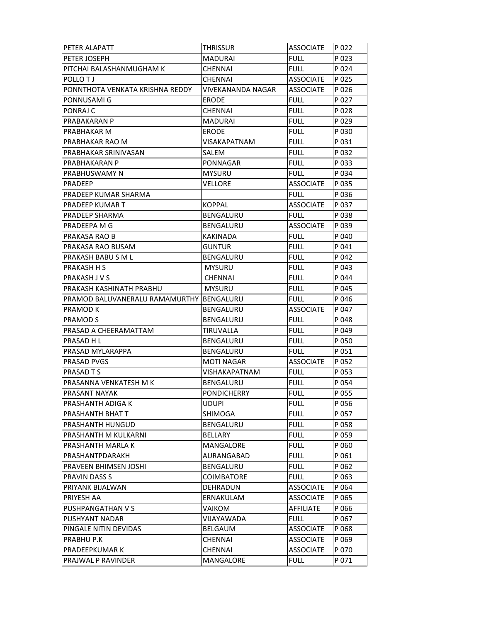| PETER ALAPATT                            | <b>THRISSUR</b>     | <b>ASSOCIATE</b> | P 022 |
|------------------------------------------|---------------------|------------------|-------|
| PETER JOSEPH                             | <b>MADURAI</b>      | <b>FULL</b>      | P 023 |
| PITCHAI BALASHANMUGHAM K                 | <b>CHENNAI</b>      | <b>FULL</b>      | P 024 |
| POLLO TJ                                 | <b>CHENNAI</b>      | <b>ASSOCIATE</b> | P 025 |
| PONNTHOTA VENKATA KRISHNA REDDY          | VIVEKANANDA NAGAR   | <b>ASSOCIATE</b> | P 026 |
| PONNUSAMI G                              | <b>ERODE</b>        | <b>FULL</b>      | P 027 |
| PONRAJ C                                 | <b>CHENNAI</b>      | <b>FULL</b>      | P 028 |
| PRABAKARAN P                             | MADURAI             | <b>FULL</b>      | P 029 |
| PRABHAKAR M                              | <b>ERODE</b>        | <b>FULL</b>      | P 030 |
| PRABHAKAR RAO M                          | <b>VISAKAPATNAM</b> | <b>FULL</b>      | P 031 |
| PRABHAKAR SRINIVASAN                     | SALEM               | <b>FULL</b>      | P 032 |
| <b>PRABHAKARAN P</b>                     | PONNAGAR            | <b>FULL</b>      | P 033 |
| <b>PRABHUSWAMY N</b>                     | <b>MYSURU</b>       | <b>FULL</b>      | P 034 |
| PRADEEP                                  | <b>VELLORE</b>      | <b>ASSOCIATE</b> | P 035 |
| PRADEEP KUMAR SHARMA                     |                     | <b>FULL</b>      | P 036 |
| PRADEEP KUMAR T                          | <b>KOPPAL</b>       | <b>ASSOCIATE</b> | P 037 |
| <b>PRADEEP SHARMA</b>                    | <b>BENGALURU</b>    | <b>FULL</b>      | P 038 |
| PRADEEPA M G                             | BENGALURU           | <b>ASSOCIATE</b> | P 039 |
| PRAKASA RAO B                            | KAKINADA            | <b>FULL</b>      | P 040 |
| PRAKASA RAO BUSAM                        | <b>GUNTUR</b>       | <b>FULL</b>      | P 041 |
| PRAKASH BABUSML                          | BENGALURU           | <b>FULL</b>      | P 042 |
| <b>PRAKASH H S</b>                       | <b>MYSURU</b>       | <b>FULL</b>      | P 043 |
| PRAKASH J V S                            | <b>CHENNAI</b>      | <b>FULL</b>      | P 044 |
| PRAKASH KASHINATH PRABHU                 | <b>MYSURU</b>       | <b>FULL</b>      | P 045 |
| PRAMOD BALUVANERALU RAMAMURTHY BENGALURU |                     | <b>FULL</b>      | P 046 |
| PRAMOD K                                 | BENGALURU           | <b>ASSOCIATE</b> | P 047 |
| PRAMOD S                                 | BENGALURU           | <b>FULL</b>      | P 048 |
| PRASAD A CHEERAMATTAM                    | TIRUVALLA           | <b>FULL</b>      | P 049 |
| PRASAD H L                               | BENGALURU           | <b>FULL</b>      | P 050 |
| PRASAD MYLARAPPA                         | BENGALURU           | <b>FULL</b>      | P 051 |
| <b>PRASAD PVGS</b>                       | <b>MOTI NAGAR</b>   | <b>ASSOCIATE</b> | P 052 |
| <b>PRASAD T S</b>                        | VISHAKAPATNAM       | <b>FULL</b>      | P 053 |
| PRASANNA VENKATESH M K                   | BENGALURU           | <b>FULL</b>      | P 054 |
| PRASANT NAYAK                            | PONDICHERRY         | <b>FULL</b>      | P 055 |
| PRASHANTH ADIGA K                        | UDUPI               | <b>FULL</b>      | P 056 |
| PRASHANTH BHAT T                         | SHIMOGA             | <b>FULL</b>      | P 057 |
| <b>PRASHANTH HUNGUD</b>                  | BENGALURU           | <b>FULL</b>      | P 058 |
| PRASHANTH M KULKARNI                     | <b>BELLARY</b>      | <b>FULL</b>      | P 059 |
| PRASHANTH MARLA K                        | MANGALORE           | <b>FULL</b>      | P 060 |
| PRASHANTPDARAKH                          | AURANGABAD          | <b>FULL</b>      | P 061 |
| PRAVEEN BHIMSEN JOSHI                    | BENGALURU           | <b>FULL</b>      | P 062 |
| PRAVIN DASS S                            | <b>COIMBATORE</b>   | <b>FULL</b>      | P 063 |
| PRIYANK BIJALWAN                         | DEHRADUN            | <b>ASSOCIATE</b> | P 064 |
| PRIYESH AA                               | ERNAKULAM           | <b>ASSOCIATE</b> | P 065 |
| PUSHPANGATHAN V S                        | VAIKOM              | <b>AFFILIATE</b> | P 066 |
| <b>PUSHYANT NADAR</b>                    | VIJAYAWADA          | <b>FULL</b>      | P 067 |
| PINGALE NITIN DEVIDAS                    | <b>BELGAUM</b>      | <b>ASSOCIATE</b> | P 068 |
| PRABHU P.K                               | <b>CHENNAI</b>      | <b>ASSOCIATE</b> | P 069 |
| PRADEEPKUMAR K                           | CHENNAI             | <b>ASSOCIATE</b> | P 070 |
| PRAJWAL P RAVINDER                       | MANGALORE           | <b>FULL</b>      | P 071 |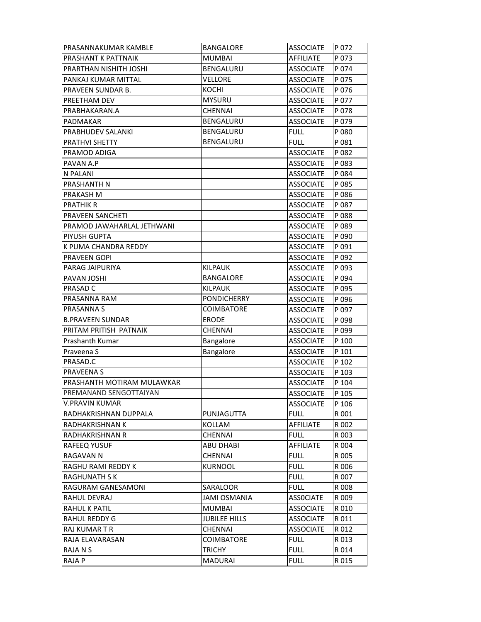| PRASANNAKUMAR KAMBLE       | <b>BANGALORE</b>     | <b>ASSOCIATE</b> | P 072 |
|----------------------------|----------------------|------------------|-------|
| PRASHANT K PATTNAIK        | <b>MUMBAI</b>        | AFFILIATE        | P 073 |
| PRARTHAN NISHITH JOSHI     | BENGALURU            | <b>ASSOCIATE</b> | P 074 |
| PANKAJ KUMAR MITTAL        | VELLORE              | <b>ASSOCIATE</b> | P 075 |
| PRAVEEN SUNDAR B.          | <b>KOCHI</b>         | <b>ASSOCIATE</b> | P 076 |
| PREETHAM DEV               | <b>MYSURU</b>        | <b>ASSOCIATE</b> | P 077 |
| PRABHAKARAN.A              | <b>CHENNAI</b>       | <b>ASSOCIATE</b> | P 078 |
| PADMAKAR                   | BENGALURU            | <b>ASSOCIATE</b> | P 079 |
| PRABHUDEV SALANKI          | BENGALURU            | <b>FULL</b>      | P 080 |
| PRATHVI SHETTY             | BENGALURU            | <b>FULL</b>      | P 081 |
| PRAMOD ADIGA               |                      | <b>ASSOCIATE</b> | P 082 |
| PAVAN A.P                  |                      | <b>ASSOCIATE</b> | P 083 |
| N PALANI                   |                      | <b>ASSOCIATE</b> | P 084 |
| PRASHANTH N                |                      | <b>ASSOCIATE</b> | P 085 |
| PRAKASH M                  |                      | <b>ASSOCIATE</b> | P 086 |
| <b>PRATHIK R</b>           |                      | <b>ASSOCIATE</b> | P 087 |
| PRAVEEN SANCHETI           |                      | <b>ASSOCIATE</b> | P088  |
| PRAMOD JAWAHARLAL JETHWANI |                      | <b>ASSOCIATE</b> | P 089 |
| PIYUSH GUPTA               |                      | <b>ASSOCIATE</b> | P 090 |
| K PUMA CHANDRA REDDY       |                      | <b>ASSOCIATE</b> | P 091 |
| PRAVEEN GOPI               |                      | <b>ASSOCIATE</b> | P 092 |
| PARAG JAIPURIYA            | <b>KILPAUK</b>       | <b>ASSOCIATE</b> | P 093 |
| PAVAN JOSHI                | <b>BANGALORE</b>     | <b>ASSOCIATE</b> | P 094 |
| PRASAD C                   | <b>KILPAUK</b>       | <b>ASSOCIATE</b> | P 095 |
| PRASANNA RAM               | <b>PONDICHERRY</b>   | <b>ASSOCIATE</b> | P 096 |
| PRASANNA S                 | COIMBATORE           | <b>ASSOCIATE</b> | P 097 |
| <b>B.PRAVEEN SUNDAR</b>    | <b>ERODE</b>         | <b>ASSOCIATE</b> | P 098 |
| PRITAM PRITISH PATNAIK     | <b>CHENNAI</b>       | <b>ASSOCIATE</b> | P 099 |
| Prashanth Kumar            | Bangalore            | <b>ASSOCIATE</b> | P 100 |
| Praveena S                 | Bangalore            | <b>ASSOCIATE</b> | P 101 |
| PRASAD.C                   |                      | <b>ASSOCIATE</b> | P 102 |
| PRAVEENA S                 |                      | <b>ASSOCIATE</b> | P 103 |
| PRASHANTH MOTIRAM MULAWKAR |                      | <b>ASSOCIATE</b> | P 104 |
| PREMANAND SENGOTTAIYAN     |                      | <b>ASSOCIATE</b> | P 105 |
| <b>V.PRAVIN KUMAR</b>      |                      | <b>ASSOCIATE</b> | P 106 |
| RADHAKRISHNAN DUPPALA      | PUNJAGUTTA           | <b>FULL</b>      | R 001 |
| RADHAKRISHNAN K            | KOLLAM               | <b>AFFILIATE</b> | R 002 |
| RADHAKRISHNAN R            | <b>CHENNAI</b>       | <b>FULL</b>      | R 003 |
| RAFEEQ YUSUF               | <b>ABU DHABI</b>     | <b>AFFILIATE</b> | R 004 |
| <b>RAGAVAN N</b>           | <b>CHENNAI</b>       | <b>FULL</b>      | R 005 |
| RAGHU RAMI REDDY K         | <b>KURNOOL</b>       | <b>FULL</b>      | R 006 |
| RAGHUNATH S K              |                      | <b>FULL</b>      | R 007 |
| RAGURAM GANESAMONI         | SARALOOR             | <b>FULL</b>      | R 008 |
| RAHUL DEVRAJ               | <b>JAMI OSMANIA</b>  | <b>ASSOCIATE</b> | R 009 |
| RAHUL K PATIL              | <b>MUMBAI</b>        | <b>ASSOCIATE</b> | R 010 |
| RAHUL REDDY G              | <b>JUBILEE HILLS</b> | <b>ASSOCIATE</b> | R 011 |
| <b>RAJ KUMAR T R</b>       | <b>CHENNAI</b>       | <b>ASSOCIATE</b> | R 012 |
| RAJA ELAVARASAN            | <b>COIMBATORE</b>    | <b>FULL</b>      | R 013 |
| RAJA N S                   | <b>TRICHY</b>        | <b>FULL</b>      | R 014 |
| RAJA P                     | <b>MADURAI</b>       | <b>FULL</b>      | R 015 |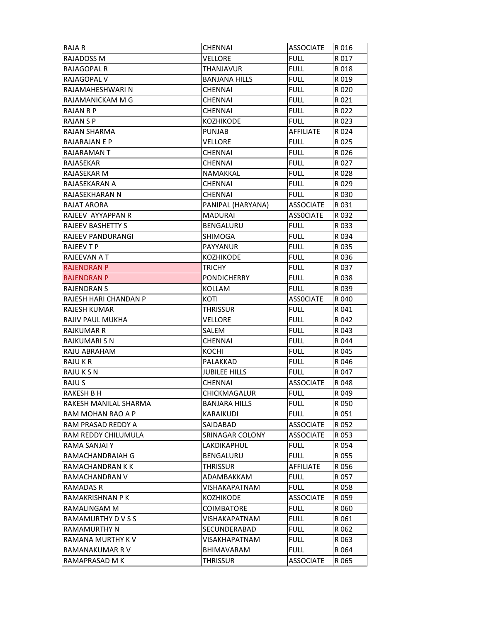| <b>RAJA R</b>            | <b>CHENNAI</b>       | <b>ASSOCIATE</b> | R016  |
|--------------------------|----------------------|------------------|-------|
| RAJADOSS M               | VELLORE              | <b>FULL</b>      | R 017 |
| RAJAGOPAL R              | THANJAVUR            | <b>FULL</b>      | R 018 |
| RAJAGOPAL V              | <b>BANJANA HILLS</b> | <b>FULL</b>      | R 019 |
| RAJAMAHESHWARI N         | CHENNAI              | <b>FULL</b>      | R 020 |
| RAJAMANICKAM M G         | <b>CHENNAI</b>       | <b>FULL</b>      | R 021 |
| RAJAN R P                | <b>CHENNAI</b>       | <b>FULL</b>      | R 022 |
| RAJAN S P                | KOZHIKODE            | <b>FULL</b>      | R 023 |
| RAJAN SHARMA             | <b>PUNJAB</b>        | <b>AFFILIATE</b> | R 024 |
| RAJARAJAN E P            | VELLORE              | <b>FULL</b>      | R 025 |
| RAJARAMAN T              | <b>CHENNAI</b>       | <b>FULL</b>      | R026  |
| RAJASEKAR                | <b>CHENNAI</b>       | <b>FULL</b>      | R 027 |
| RAJASEKAR M              | NAMAKKAL             | <b>FULL</b>      | R 028 |
| RAJASEKARAN A            | <b>CHENNAI</b>       | <b>FULL</b>      | R 029 |
| RAJASEKHARAN N           | CHENNAI              | <b>FULL</b>      | R030  |
| <b>RAJAT ARORA</b>       | PANIPAL (HARYANA)    | <b>ASSOCIATE</b> | R031  |
| RAJEEV AYYAPPAN R        | MADURAI              | <b>ASSOCIATE</b> | R 032 |
| <b>RAJEEV BASHETTY S</b> | BENGALURU            | <b>FULL</b>      | R 033 |
| RAJEEV PANDURANGI        | SHIMOGA              | <b>FULL</b>      | R 034 |
| <b>RAJEEV T P</b>        | <b>PAYYANUR</b>      | <b>FULL</b>      | R 035 |
| RAJEEVAN A T             | KOZHIKODE            | <b>FULL</b>      | R036  |
| <b>RAJENDRAN P</b>       | TRICHY               | <b>FULL</b>      | R 037 |
| <b>RAJENDRAN P</b>       | <b>PONDICHERRY</b>   | <b>FULL</b>      | R038  |
| <b>RAJENDRAN S</b>       | KOLLAM               | <b>FULL</b>      | R039  |
| RAJESH HARI CHANDAN P    | KOTI                 | <b>ASSOCIATE</b> | R 040 |
| <b>RAJESH KUMAR</b>      | <b>THRISSUR</b>      | <b>FULL</b>      | R 041 |
| RAJIV PAUL MUKHA         | VELLORE              | <b>FULL</b>      | R 042 |
| <b>RAJKUMAR R</b>        | SALEM                | <b>FULL</b>      | R 043 |
| <b>RAJKUMARI S N</b>     | CHENNAI              | <b>FULL</b>      | R 044 |
| RAJU ABRAHAM             | KOCHI                | <b>FULL</b>      | R 045 |
| RAJU K R                 | PALAKKAD             | <b>FULL</b>      | R 046 |
| RAJU K S N               | <b>JUBILEE HILLS</b> | <b>FULL</b>      | R 047 |
| RAJU S                   | <b>CHENNAI</b>       | <b>ASSOCIATE</b> | R 048 |
| <b>RAKESH B H</b>        | CHICKMAGALUR         | <b>FULL</b>      | R 049 |
| RAKESH MANILAL SHARMA    | BANJARA HILLS        | <b>FULL</b>      | R 050 |
| RAM MOHAN RAO A P        | KARAIKUDI            | <b>FULL</b>      | R 051 |
| RAM PRASAD REDDY A       | SAIDABAD             | <b>ASSOCIATE</b> | R 052 |
| RAM REDDY CHILUMULA      | SRINAGAR COLONY      | <b>ASSOCIATE</b> | R 053 |
| RAMA SANJAI Y            | LAKDIKAPHUL          | <b>FULL</b>      | R 054 |
| RAMACHANDRAIAH G         | BENGALURU            | <b>FULL</b>      | R 055 |
| RAMACHANDRAN K K         | THRISSUR             | <b>AFFILIATE</b> | R 056 |
| RAMACHANDRAN V           | ADAMBAKKAM           | <b>FULL</b>      | R 057 |
| RAMADAS R                | VISHAKAPATNAM        | <b>FULL</b>      | R 058 |
| RAMAKRISHNAN P K         | KOZHIKODE            | <b>ASSOCIATE</b> | R 059 |
| RAMALINGAM M             | COIMBATORE           | <b>FULL</b>      | R 060 |
| RAMAMURTHY D V S S       | VISHAKAPATNAM        | FULL             | R 061 |
| <b>RAMAMURTHY N</b>      | SECUNDERABAD         | <b>FULL</b>      | R 062 |
| RAMANA MURTHY K V        | VISAKHAPATNAM        | <b>FULL</b>      | R 063 |
| RAMANAKUMAR R V          | BHIMAVARAM           | <b>FULL</b>      | R 064 |
| RAMAPRASAD M K           | THRISSUR             | ASSOCIATE        | R 065 |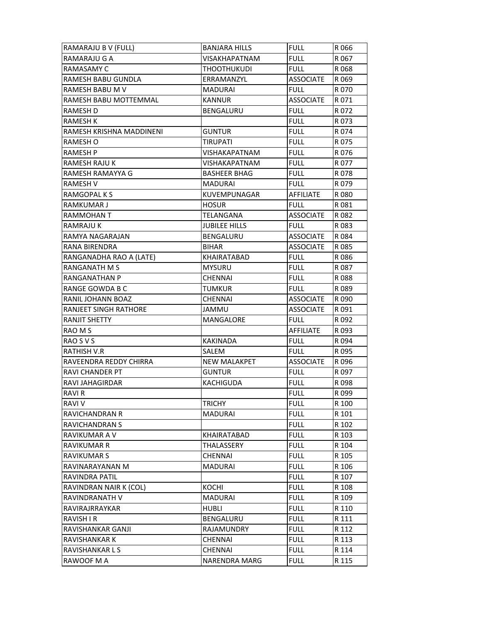| RAMARAJU B V (FULL)      | <b>BANJARA HILLS</b> | <b>FULL</b>      | R066  |
|--------------------------|----------------------|------------------|-------|
| RAMARAJU G A             | VISAKHAPATNAM        | <b>FULL</b>      | R 067 |
| <b>RAMASAMY C</b>        | <b>THOOTHUKUDI</b>   | <b>FULL</b>      | R 068 |
| RAMESH BABU GUNDLA       | ERRAMANZYL           | <b>ASSOCIATE</b> | R 069 |
| RAMESH BABU M V          | MADURAI              | <b>FULL</b>      | R 070 |
| RAMESH BABU MOTTEMMAL    | <b>KANNUR</b>        | <b>ASSOCIATE</b> | R071  |
| RAMESH D                 | <b>BENGALURU</b>     | <b>FULL</b>      | R 072 |
| <b>RAMESH K</b>          |                      | <b>FULL</b>      | R 073 |
| RAMESH KRISHNA MADDINENI | <b>GUNTUR</b>        | <b>FULL</b>      | R 074 |
| RAMESH O                 | TIRUPATI             | <b>FULL</b>      | R075  |
| RAMESH P                 | VISHAKAPATNAM        | <b>FULL</b>      | R076  |
| RAMESH RAJU K            | VISHAKAPATNAM        | <b>FULL</b>      | R 077 |
| RAMESH RAMAYYA G         | <b>BASHEER BHAG</b>  | <b>FULL</b>      | R 078 |
| RAMESH V                 | MADURAI              | <b>FULL</b>      | R 079 |
| RAMGOPAL K S             | KUVEMPUNAGAR         | AFFILIATE        | R 080 |
| <b>RAMKUMAR J</b>        | <b>HOSUR</b>         | <b>FULL</b>      | R081  |
| RAMMOHAN T               | TELANGANA            | <b>ASSOCIATE</b> | R 082 |
| RAMRAJU K                | <b>JUBILEE HILLS</b> | FULL             | R 083 |
| RAMYA NAGARAJAN          | BENGALURU            | <b>ASSOCIATE</b> | R 084 |
| RANA BIRENDRA            | <b>BIHAR</b>         | <b>ASSOCIATE</b> | R 085 |
| RANGANADHA RAO A (LATE)  | KHAIRATABAD          | <b>FULL</b>      | R086  |
| <b>RANGANATH M S</b>     | <b>MYSURU</b>        | <b>FULL</b>      | R 087 |
| <b>RANGANATHAN P</b>     | CHENNAI              | <b>FULL</b>      | R 088 |
| RANGE GOWDA B C          | TUMKUR               | Full             | R 089 |
| RANIL JOHANN BOAZ        | <b>CHENNAI</b>       | <b>ASSOCIATE</b> | R 090 |
| RANJEET SINGH RATHORE    | <b>JAMMU</b>         | <b>ASSOCIATE</b> | R 091 |
| <b>RANJIT SHETTY</b>     | MANGALORE            | FULL             | R 092 |
| RAO M S                  |                      | AFFILIATE        | R 093 |
| RAO S V S                | KAKINADA             | <b>FULL</b>      | R 094 |
| RATHISH V.R              | SALEM                | <b>FULL</b>      | R 095 |
| RAVEENDRA REDDY CHIRRA   | <b>NEW MALAKPET</b>  | <b>ASSOCIATE</b> | R096  |
| <b>RAVI CHANDER PT</b>   | <b>GUNTUR</b>        | <b>FULL</b>      | R 097 |
| RAVI JAHAGIRDAR          | KACHIGUDA            | <b>FULL</b>      | R 098 |
| RAVI R                   |                      | <b>FULL</b>      | R 099 |
| <b>RAVIV</b>             | <b>TRICHY</b>        | <b>FULL</b>      | R 100 |
| <b>RAVICHANDRAN R</b>    | <b>MADURAI</b>       | <b>FULL</b>      | R 101 |
| <b>RAVICHANDRAN S</b>    |                      | <b>FULL</b>      | R 102 |
| <b>RAVIKUMAR A V</b>     | KHAIRATABAD          | <b>FULL</b>      | R 103 |
| <b>RAVIKUMAR R</b>       | <b>THALASSERY</b>    | <b>FULL</b>      | R 104 |
| <b>RAVIKUMAR S</b>       | CHENNAI              | <b>FULL</b>      | R 105 |
| RAVINARAYANAN M          | MADURAI              | <b>FULL</b>      | R 106 |
| RAVINDRA PATIL           |                      | <b>FULL</b>      | R 107 |
| RAVINDRAN NAIR K (COL)   | <b>KOCHI</b>         | <b>FULL</b>      | R 108 |
| RAVINDRANATH V           | <b>MADURAI</b>       | <b>FULL</b>      | R 109 |
| RAVIRAJRRAYKAR           | <b>HUBLI</b>         | <b>FULL</b>      | R 110 |
| <b>RAVISH I R</b>        | BENGALURU            | <b>FULL</b>      | R 111 |
| RAVISHANKAR GANJI        | RAJAMUNDRY           | <b>FULL</b>      | R 112 |
| <b>RAVISHANKAR K</b>     |                      |                  |       |
|                          | CHENNAI              | <b>FULL</b>      | R 113 |
| RAVISHANKAR L S          | <b>CHENNAI</b>       | <b>FULL</b>      | R 114 |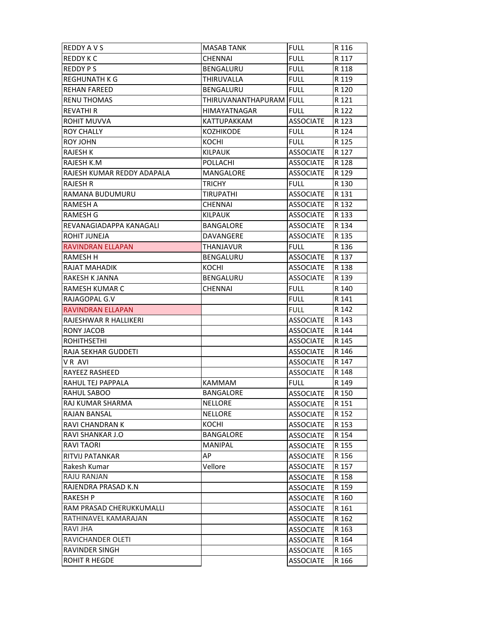| <b>REDDY AVS</b>           | <b>MASAB TANK</b>       | <b>FULL</b>      | R 116 |
|----------------------------|-------------------------|------------------|-------|
| <b>REDDY K C</b>           | CHENNAI                 | <b>FULL</b>      | R 117 |
| <b>REDDY PS</b>            | BENGALURU               | <b>FULL</b>      | R 118 |
| REGHUNATH K G              | THIRUVALLA              | <b>FULL</b>      | R 119 |
| <b>REHAN FAREED</b>        | BENGALURU               | <b>FULL</b>      | R 120 |
| <b>RENU THOMAS</b>         | THIRUVANANTHAPURAM FULL |                  | R 121 |
| <b>REVATHI R</b>           | <b>HIMAYATNAGAR</b>     | <b>FULL</b>      | R 122 |
| <b>ROHIT MUVVA</b>         | KATTUPAKKAM             | <b>ASSOCIATE</b> | R 123 |
| <b>ROY CHALLY</b>          | <b>KOZHIKODE</b>        | <b>FULL</b>      | R 124 |
| <b>ROY JOHN</b>            | KOCHI                   | <b>FULL</b>      | R 125 |
| <b>RAJESH K</b>            | <b>KILPAUK</b>          | <b>ASSOCIATE</b> | R 127 |
| RAJESH K.M                 | POLLACHI                | <b>ASSOCIATE</b> | R 128 |
| RAJESH KUMAR REDDY ADAPALA | MANGALORE               | <b>ASSOCIATE</b> | R 129 |
| <b>RAJESH R</b>            | <b>TRICHY</b>           | <b>FULL</b>      | R 130 |
| RAMANA BUDUMURU            | <b>TIRUPATHI</b>        | <b>ASSOCIATE</b> | R 131 |
| <b>RAMESH A</b>            | <b>CHENNAI</b>          | <b>ASSOCIATE</b> | R 132 |
| <b>RAMESH G</b>            | <b>KILPAUK</b>          | <b>ASSOCIATE</b> | R 133 |
| REVANAGIADAPPA KANAGALI    | <b>BANGALORE</b>        | <b>ASSOCIATE</b> | R 134 |
| ROHIT JUNEJA               | DAVANGERE               | <b>ASSOCIATE</b> | R 135 |
| RAVINDRAN ELLAPAN          | THANJAVUR               | <b>FULL</b>      | R 136 |
| <b>RAMESH H</b>            | <b>BENGALURU</b>        | <b>ASSOCIATE</b> | R 137 |
| RAJAT MAHADIK              | KOCHI                   | <b>ASSOCIATE</b> | R 138 |
| <b>RAKESH K JANNA</b>      | BENGALURU               | <b>ASSOCIATE</b> | R 139 |
| <b>RAMESH KUMAR C</b>      | <b>CHENNAI</b>          | <b>FULL</b>      | R 140 |
| RAJAGOPAL G.V              |                         | <b>FULL</b>      | R 141 |
| <b>RAVINDRAN ELLAPAN</b>   |                         | <b>FULL</b>      | R 142 |
| RAJESHWAR R HALLIKERI      |                         | <b>ASSOCIATE</b> | R 143 |
| RONY JACOB                 |                         | <b>ASSOCIATE</b> | R 144 |
| <b>ROHITHSETHI</b>         |                         | <b>ASSOCIATE</b> | R 145 |
| RAJA SEKHAR GUDDETI        |                         | <b>ASSOCIATE</b> | R 146 |
| VR AVI                     |                         | <b>ASSOCIATE</b> | R 147 |
| <b>RAYEEZ RASHEED</b>      |                         | <b>ASSOCIATE</b> | R 148 |
| RAHUL TEJ PAPPALA          | <b>KAMMAM</b>           | <b>FULL</b>      | R 149 |
| <b>RAHUL SABOO</b>         | <b>BANGALORE</b>        | <b>ASSOCIATE</b> | R 150 |
| RAJ KUMAR SHARMA           | <b>NELLORE</b>          | <b>ASSOCIATE</b> | R 151 |
| <b>RAJAN BANSAL</b>        | <b>NELLORE</b>          | <b>ASSOCIATE</b> | R 152 |
| RAVI CHANDRAN K            | <b>KOCHI</b>            | <b>ASSOCIATE</b> | R 153 |
| RAVI SHANKAR J.O           | <b>BANGALORE</b>        | <b>ASSOCIATE</b> | R 154 |
| <b>RAVITAORI</b>           | <b>MANIPAL</b>          | <b>ASSOCIATE</b> | R 155 |
| <b>RITVIJ PATANKAR</b>     | AP                      | <b>ASSOCIATE</b> | R 156 |
| Rakesh Kumar               | Vellore                 | <b>ASSOCIATE</b> | R 157 |
| RAJU RANJAN                |                         | <b>ASSOCIATE</b> | R 158 |
| RAJENDRA PRASAD K.N        |                         | <b>ASSOCIATE</b> | R 159 |
| <b>RAKESH P</b>            |                         | <b>ASSOCIATE</b> | R 160 |
| RAM PRASAD CHERUKKUMALLI   |                         | <b>ASSOCIATE</b> | R 161 |
| RATHINAVEL KAMARAJAN       |                         | <b>ASSOCIATE</b> | R 162 |
| <b>RAVI JHA</b>            |                         | <b>ASSOCIATE</b> | R 163 |
| RAVICHANDER OLETI          |                         | <b>ASSOCIATE</b> | R 164 |
| <b>RAVINDER SINGH</b>      |                         | <b>ASSOCIATE</b> | R 165 |
| <b>ROHIT R HEGDE</b>       |                         | <b>ASSOCIATE</b> | R 166 |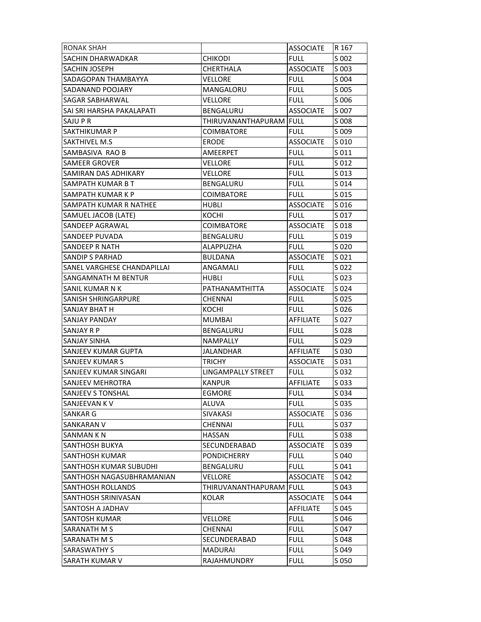| <b>RONAK SHAH</b>             |                           | <b>ASSOCIATE</b> | R 167 |
|-------------------------------|---------------------------|------------------|-------|
| SACHIN DHARWADKAR             | <b>CHIKODI</b>            | <b>FULL</b>      | S 002 |
| <b>SACHIN JOSEPH</b>          | CHERTHALA                 | <b>ASSOCIATE</b> | S 003 |
| SADAGOPAN THAMBAYYA           | VELLORE                   | <b>FULL</b>      | S 004 |
| SADANAND POOJARY              | MANGALORU                 | FULL             | S 005 |
| <b>SAGAR SABHARWAL</b>        | <b>VELLORE</b>            | <b>FULL</b>      | S 006 |
| SAI SRI HARSHA PAKALAPATI     | BENGALURU                 | <b>ASSOCIATE</b> | S 007 |
| SAJU P R                      | THIRUVANANTHAPURAM  FULL  |                  | S 008 |
| <b>SAKTHIKUMAR P</b>          | COIMBATORE                | <b>FULL</b>      | S 009 |
| <b>SAKTHIVEL M.S</b>          | <b>ERODE</b>              | <b>ASSOCIATE</b> | S 010 |
| SAMBASIVA RAO B               | AMEERPET                  | <b>FULL</b>      | S 011 |
| <b>SAMEER GROVER</b>          | VELLORE                   | full.            | S 012 |
| SAMIRAN DAS ADHIKARY          | VELLORE                   | <b>FULL</b>      | S 013 |
| SAMPATH KUMAR B T             | BENGALURU                 | FULL             | S 014 |
| SAMPATH KUMAR K P             | COIMBATORE                | FULL             | S 015 |
| <b>SAMPATH KUMAR R NATHEE</b> | <b>HUBLI</b>              | <b>ASSOCIATE</b> | S 016 |
| SAMUEL JACOB (LATE)           | KOCHI                     | <b>FULL</b>      | S 017 |
| <b>SANDEEP AGRAWAL</b>        | <b>COIMBATORE</b>         | <b>ASSOCIATE</b> | S 018 |
| <b>SANDEEP PUVADA</b>         | BENGALURU                 | <b>FULL</b>      | S 019 |
| <b>SANDEEP R NATH</b>         | <b>ALAPPUZHA</b>          | <b>FULL</b>      | S 020 |
| <b>SANDIP S PARHAD</b>        | <b>BULDANA</b>            | <b>ASSOCIATE</b> | S 021 |
| SANEL VARGHESE CHANDAPILLAI   | ANGAMALI                  | <b>FULL</b>      | S 022 |
| SANGAMNATH M BENTUR           | HUBLI                     | FULL             | S 023 |
| SANIL KUMAR N K               | PATHANAMTHITTA            | <b>ASSOCIATE</b> | S 024 |
| <b>SANISH SHRINGARPURE</b>    | <b>CHENNAI</b>            | <b>FULL</b>      | S 025 |
| <b>SANJAY BHAT H</b>          | KOCHI                     | FULL             | S 026 |
| <b>SANJAY PANDAY</b>          | <b>MUMBAI</b>             | <b>AFFILIATE</b> | S 027 |
| <b>SANJAY R P</b>             | <b>BENGALURU</b>          | <b>FULL</b>      | S 028 |
| <b>SANJAY SINHA</b>           | <b>NAMPALLY</b>           | <b>FULL</b>      | S 029 |
| <b>SANJEEV KUMAR GUPTA</b>    | JALANDHAR                 | <b>AFFILIATE</b> | S 030 |
| <b>SANJEEV KUMAR S</b>        | <b>TRICHY</b>             | <b>ASSOCIATE</b> | S 031 |
| SANJEEV KUMAR SINGARI         | <b>LINGAMPALLY STREET</b> | FULL             | S 032 |
| SANJEEV MEHROTRA              | <b>KANPUR</b>             | <b>AFFILIATE</b> | S 033 |
| SANJEEV S TONSHAL             | EGMORE                    | <b>FULL</b>      | S 034 |
| ISANJEEVAN K V                | ALUVA                     | <b>FULL</b>      | S 035 |
| <b>SANKAR G</b>               | <b>SIVAKASI</b>           | <b>ASSOCIATE</b> | S 036 |
| <b>SANKARAN V</b>             | <b>CHENNAI</b>            | <b>FULL</b>      | S 037 |
| <b>SANMAN K N</b>             | <b>HASSAN</b>             | <b>FULL</b>      | S 038 |
| <b>SANTHOSH BUKYA</b>         | SECUNDERABAD              | <b>ASSOCIATE</b> | S 039 |
| SANTHOSH KUMAR                | PONDICHERRY               | <b>FULL</b>      | S 040 |
| SANTHOSH KUMAR SUBUDHI        | BENGALURU                 | <b>FULL</b>      | S 041 |
| ISANTHOSH NAGASUBHRAMANIAN    | VELLORE                   | <b>ASSOCIATE</b> | S 042 |
| <b>SANTHOSH ROLLANDS</b>      | THIRUVANANTHAPURAM FULL   |                  | S 043 |
| <b>SANTHOSH SRINIVASAN</b>    | <b>KOLAR</b>              | <b>ASSOCIATE</b> | S 044 |
| <b>SANTOSH A JADHAV</b>       |                           | AFFILIATE        | S 045 |
| <b>SANTOSH KUMAR</b>          | VELLORE                   | <b>FULL</b>      | S 046 |
| <b>SARANATH M S</b>           | <b>CHENNAI</b>            | <b>FULL</b>      | S 047 |
| <b>SARANATH M S</b>           | SECUNDERABAD              | <b>FULL</b>      | S 048 |
| <b>SARASWATHY S</b>           | <b>MADURAI</b>            | <b>FULL</b>      | S 049 |
| <b>SARATH KUMAR V</b>         | RAJAHMUNDRY               | <b>FULL</b>      | S 050 |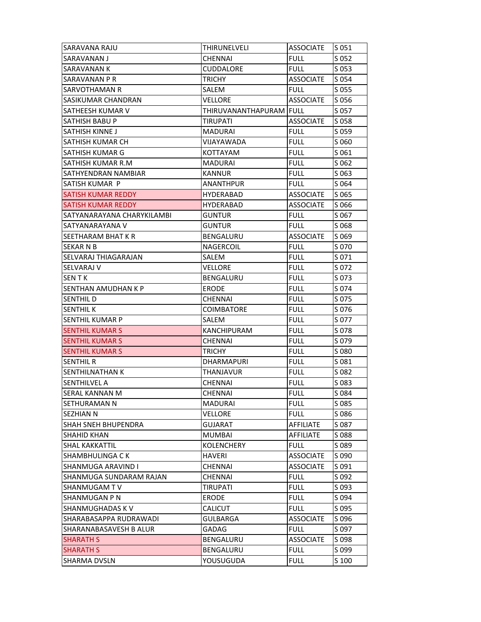| SARAVANA RAJU              | THIRUNELVELI            | <b>ASSOCIATE</b> | S 051   |
|----------------------------|-------------------------|------------------|---------|
| SARAVANAN J                | <b>CHENNAI</b>          | <b>FULL</b>      | S 052   |
| <b>SARAVANAN K</b>         | <b>CUDDALORE</b>        | <b>FULL</b>      | $S$ 053 |
| <b>SARAVANAN P R</b>       | <b>TRICHY</b>           | <b>ASSOCIATE</b> | S 054   |
| <b>SARVOTHAMAN R</b>       | SALEM                   | <b>FULL</b>      | S 055   |
| SASIKUMAR CHANDRAN         | VELLORE                 | <b>ASSOCIATE</b> | S 056   |
| SATHEESH KUMAR V           | THIRUVANANTHAPURAM FULL |                  | S 057   |
| <b>SATHISH BABU P</b>      | TIRUPATI                | <b>ASSOCIATE</b> | S 058   |
| SATHISH KINNE J            | MADURAI                 | <b>FULL</b>      | S 059   |
| SATHISH KUMAR CH           | VIJAYAWADA              | <b>FULL</b>      | S 060   |
| SATHISH KUMAR G            | KOTTAYAM                | <b>FULL</b>      | S 061   |
| SATHISH KUMAR R.M          | <b>MADURAI</b>          | <b>FULL</b>      | S 062   |
| SATHYENDRAN NAMBIAR        | <b>KANNUR</b>           | <b>FULL</b>      | S 063   |
| SATISH KUMAR P             | <b>ANANTHPUR</b>        | <b>FULL</b>      | S 064   |
| SATISH KUMAR REDDY         | HYDERABAD               | <b>ASSOCIATE</b> | S 065   |
| <b>SATISH KUMAR REDDY</b>  | <b>HYDERABAD</b>        | <b>ASSOCIATE</b> | S 066   |
| SATYANARAYANA CHARYKILAMBI | <b>GUNTUR</b>           | <b>FULL</b>      | S 067   |
| ISATYANARAYANA V           | <b>GUNTUR</b>           | <b>FULL</b>      | S 068   |
| SEETHARAM BHAT K R         | BENGALURU               | <b>ASSOCIATE</b> | S 069   |
| <b>SEKAR N B</b>           | NAGERCOIL               | <b>FULL</b>      | S 070   |
| SELVARAJ THIAGARAJAN       | SALEM                   | <b>FULL</b>      | S 071   |
| <b>SELVARAJ V</b>          | <b>VELLORE</b>          | <b>FULL</b>      | S 072   |
| <b>SENTK</b>               | BENGALURU               | <b>FULL</b>      | S 073   |
| SENTHAN AMUDHAN K P        | <b>ERODE</b>            | <b>FULL</b>      | S 074   |
| SENTHIL D                  | <b>CHENNAI</b>          | <b>FULL</b>      | S 075   |
| ISENTHIL K                 | COIMBATORE              | <b>FULL</b>      | S 076   |
| <b>SENTHIL KUMAR P</b>     | SALEM                   | <b>FULL</b>      | S 077   |
| <b>SENTHIL KUMAR S</b>     | <b>KANCHIPURAM</b>      | <b>FULL</b>      | S 078   |
| <b>SENTHIL KUMAR S</b>     | CHENNAI                 | <b>FULL</b>      | S 079   |
| <b>SENTHIL KUMAR S</b>     | <b>TRICHY</b>           | <b>FULL</b>      | S 080   |
| <b>SENTHIL R</b>           | <b>DHARMAPURI</b>       | <b>FULL</b>      | S 081   |
| <b>SENTHILNATHAN K</b>     | THANJAVUR               | <b>FULL</b>      | S 082   |
| <b>SENTHILVEL A</b>        | <b>CHENNAI</b>          | <b>FULL</b>      | S 083   |
| SERAL KANNAN M             | CHENNAI                 | <b>FULL</b>      | S 084   |
| ISETHURAMAN N              | MADURAI                 | <b>FULL</b>      | S 085   |
| ISEZHIAN N                 | VELLORE                 | <b>FULL</b>      | S086    |
| <b>SHAH SNEH BHUPENDRA</b> | <b>GUJARAT</b>          | AFFILIATE        | S 087   |
| <b>SHAHID KHAN</b>         | <b>MUMBAI</b>           | <b>AFFILIATE</b> | S 088   |
| <b>SHAL KAKKATTIL</b>      | <b>KOLENCHERY</b>       | <b>FULL</b>      | S 089   |
| ISHAMBHULINGA C K          | <b>HAVERI</b>           | <b>ASSOCIATE</b> | S 090   |
| SHANMUGA ARAVIND I         | <b>CHENNAI</b>          | <b>ASSOCIATE</b> | S 091   |
| SHANMUGA SUNDARAM RAJAN    | <b>CHENNAI</b>          | <b>FULL</b>      | S 092   |
| SHANMUGAM TV               | <b>TIRUPATI</b>         | <b>FULL</b>      | S 093   |
| SHANMUGAN P N              | ERODE                   | <b>FULL</b>      | S 094   |
| ISHANMUGHADAS K V          | <b>CALICUT</b>          | <b>FULL</b>      | S 095   |
| SHARABASAPPA RUDRAWADI     | <b>GULBARGA</b>         | <b>ASSOCIATE</b> | S 096   |
| SHARANABASAVESH B ALUR     | <b>GADAG</b>            | <b>FULL</b>      | S 097   |
| <b>SHARATH S</b>           | <b>BENGALURU</b>        | <b>ASSOCIATE</b> | S 098   |
| <b>SHARATH S</b>           | BENGALURU               | <b>FULL</b>      | S 099   |
| <b>SHARMA DVSLN</b>        | YOUSUGUDA               | <b>FULL</b>      | S 100   |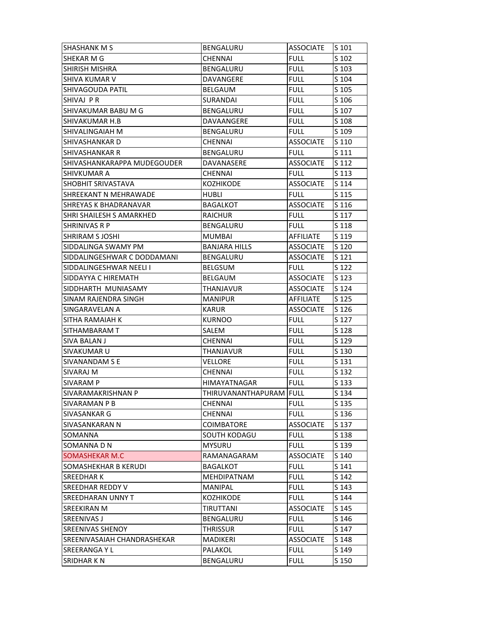| <b>SHASHANK M S</b>         | BENGALURU               | <b>ASSOCIATE</b> | S 101 |
|-----------------------------|-------------------------|------------------|-------|
| <b>SHEKAR M G</b>           | <b>CHENNAI</b>          | <b>FULL</b>      | S 102 |
| <b>SHIRISH MISHRA</b>       | <b>BENGALURU</b>        | <b>FULL</b>      | S 103 |
| <b>SHIVA KUMAR V</b>        | DAVANGERE               | <b>FULL</b>      | S 104 |
| <b>SHIVAGOUDA PATIL</b>     | BELGAUM                 | <b>FULL</b>      | S 105 |
| SHIVAJ PR                   | SURANDAI                | <b>FULL</b>      | S 106 |
| SHIVAKUMAR BABU M G         | BENGALURU               | <b>FULL</b>      | S 107 |
| SHIVAKUMAR H.B              | DAVAANGERE              | <b>FULL</b>      | S 108 |
| <b>SHIVALINGAIAH M</b>      | <b>BENGALURU</b>        | <b>FULL</b>      | S 109 |
| SHIVASHANKAR D              | <b>CHENNAI</b>          | <b>ASSOCIATE</b> | S 110 |
| <b>SHIVASHANKAR R</b>       | <b>BENGALURU</b>        | <b>FULL</b>      | S 111 |
| SHIVASHANKARAPPA MUDEGOUDER | DAVANASERE              | <b>ASSOCIATE</b> | S 112 |
| <b>SHIVKUMAR A</b>          | <b>CHENNAI</b>          | <b>FULL</b>      | S 113 |
| <b>SHOBHIT SRIVASTAVA</b>   | <b>KOZHIKODE</b>        | <b>ASSOCIATE</b> | S 114 |
| SHREEKANT N MEHRAWADE       | HUBLI                   | full.            | S 115 |
| SHREYAS K BHADRANAVAR       | <b>BAGALKOT</b>         | <b>ASSOCIATE</b> | S 116 |
| SHRI SHAILESH S AMARKHED    | <b>RAICHUR</b>          | <b>FULL</b>      | S 117 |
| ISHRINIVAS R P              | BENGALURU               | <b>FULL</b>      | S 118 |
| SHRIRAM S JOSHI             | MUMBAI                  | AFFILIATE        | S 119 |
| SIDDALINGA SWAMY PM         | <b>BANJARA HILLS</b>    | <b>ASSOCIATE</b> | S 120 |
| SIDDALINGESHWAR C DODDAMANI | BENGALURU               | <b>ASSOCIATE</b> | S 121 |
| SIDDALINGESHWAR NEELI I     | <b>BELGSUM</b>          | <b>FULL</b>      | S 122 |
| SIDDAYYA C HIREMATH         | <b>BELGAUM</b>          | <b>ASSOCIATE</b> | S 123 |
| SIDDHARTH MUNIASAMY         | THANJAVUR               | <b>ASSOCIATE</b> | S 124 |
| SINAM RAJENDRA SINGH        | <b>MANIPUR</b>          | <b>AFFILIATE</b> | S 125 |
| SINGARAVELAN A              | <b>KARUR</b>            | <b>ASSOCIATE</b> | S 126 |
| SITHA RAMAIAH K             | <b>KURNOO</b>           | <b>FULL</b>      | S 127 |
| SITHAMBARAM T               | SALEM                   | <b>FULL</b>      | S 128 |
| <b>SIVA BALAN J</b>         | <b>CHENNAI</b>          | <b>FULL</b>      | S 129 |
| <b>SIVAKUMAR U</b>          | THANJAVUR               | <b>FULL</b>      | S 130 |
| <b>SIVANANDAM S E</b>       | <b>VELLORE</b>          | <b>FULL</b>      | S 131 |
| <b>SIVARAJ M</b>            | CHENNAI                 | <b>FULL</b>      | S 132 |
| SIVARAM P                   | <b>HIMAYATNAGAR</b>     | FULL             | S 133 |
| SIVARAMAKRISHNAN P          | THIRUVANANTHAPURAM FULL |                  | S 134 |
| SIVARAMAN P B               | CHENNAI                 | <b>FULL</b>      | S 135 |
| SIVASANKAR G                | CHENNAI                 | <b>FULL</b>      | S 136 |
| <b>SIVASANKARAN N</b>       | <b>COIMBATORE</b>       | <b>ASSOCIATE</b> | S 137 |
| SOMANNA                     | SOUTH KODAGU            | <b>FULL</b>      | S 138 |
| SOMANNA D N                 | <b>MYSURU</b>           | <b>FULL</b>      | S 139 |
| <b>SOMASHEKAR M.C</b>       | RAMANAGARAM             | <b>ASSOCIATE</b> | S 140 |
| SOMASHEKHAR B KERUDI        | <b>BAGALKOT</b>         | <b>FULL</b>      | S 141 |
| SREEDHAR K                  | <b>MEHDIPATNAM</b>      | <b>FULL</b>      | S 142 |
| SREEDHAR REDDY V            | MANIPAL                 | <b>FULL</b>      | S 143 |
| <b>SREEDHARAN UNNY T</b>    | KOZHIKODE               | <b>FULL</b>      | S 144 |
| SREEKIRAN M                 | TIRUTTANI               | <b>ASSOCIATE</b> | S 145 |
| SREENIVAS J                 | BENGALURU               | <b>FULL</b>      | S 146 |
| <b>SREENIVAS SHENOY</b>     | THRISSUR                | <b>FULL</b>      | S 147 |
| SREENIVASAIAH CHANDRASHEKAR | <b>MADIKERI</b>         | <b>ASSOCIATE</b> | S 148 |
| <b>SREERANGAYL</b>          | PALAKOL                 | <b>FULL</b>      | S 149 |
| <b>SRIDHAR KN</b>           | BENGALURU               | <b>FULL</b>      | S 150 |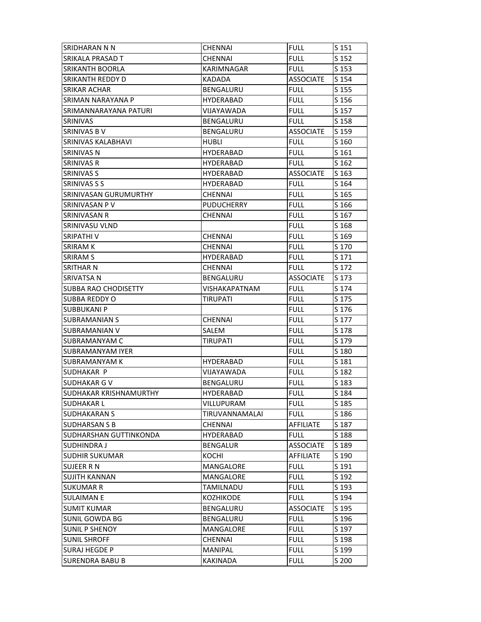| SRIDHARAN N N                  | <b>CHENNAI</b>    | <b>FULL</b>      | S 151 |
|--------------------------------|-------------------|------------------|-------|
| SRIKALA PRASAD T               | CHENNAI           | <b>FULL</b>      | S 152 |
| <b>SRIKANTH BOORLA</b>         | <b>KARIMNAGAR</b> | <b>FULL</b>      | S 153 |
| ISRIKANTH REDDY D              | KADADA            | <b>ASSOCIATE</b> | S 154 |
| <b>SRIKAR ACHAR</b>            | BENGALURU         | <b>FULL</b>      | S 155 |
| SRIMAN NARAYANA P              | <b>HYDERABAD</b>  | <b>FULL</b>      | S 156 |
| SRIMANNARAYANA PATURI          | VIJAYAWADA        | <b>FULL</b>      | S 157 |
| <b>SRINIVAS</b>                | <b>BENGALURU</b>  | <b>FULL</b>      | S 158 |
| ISRINIVAS B V                  | BENGALURU         | <b>ASSOCIATE</b> | S 159 |
| SRINIVAS KALABHAVI             | <b>HUBLI</b>      | <b>FULL</b>      | S 160 |
| <b>SRINIVAS N</b>              | HYDERABAD         | <b>FULL</b>      | S 161 |
| <b>SRINIVAS R</b>              | <b>HYDERABAD</b>  | <b>FULL</b>      | S 162 |
| <b>SRINIVAS S</b>              | <b>HYDERABAD</b>  | <b>ASSOCIATE</b> | S 163 |
| <b>SRINIVAS S S</b>            | HYDERABAD         | <b>FULL</b>      | S 164 |
| SRINIVASAN GURUMURTHY          | CHENNAI           | FULL             | S 165 |
| ISRINIVASAN P V                | <b>PUDUCHERRY</b> | <b>FULL</b>      | S 166 |
| <b>SRINIVASAN R</b>            | CHENNAI           | <b>FULL</b>      | S 167 |
| SRINIVASU VLND                 |                   | <b>FULL</b>      | S 168 |
| ISRIPATHI V                    | <b>CHENNAI</b>    | <b>FULL</b>      | S 169 |
| <b>SRIRAM K</b>                | CHENNAI           | <b>FULL</b>      | S 170 |
| ISRIRAM S                      | <b>HYDERABAD</b>  | <b>FULL</b>      | S 171 |
| <b>SRITHAR N</b>               | CHENNAI           | <b>FULL</b>      | S 172 |
| <b>SRIVATSA N</b>              | BENGALURU         | <b>ASSOCIATE</b> | S 173 |
| <b>SUBBA RAO CHODISETTY</b>    | VISHAKAPATNAM     | FULL             | S 174 |
| <b>SUBBA REDDY O</b>           | <b>TIRUPATI</b>   | <b>FULL</b>      | S 175 |
| <b>SUBBUKANI P</b>             |                   | <b>FULL</b>      | S 176 |
| SUBRAMANIAN S                  | <b>CHENNAI</b>    | <b>FULL</b>      | S 177 |
| ISUBRAMANIAN V                 | SALEM             | <b>FULL</b>      | S 178 |
| SUBRAMANYAM C                  | TIRUPATI          | <b>FULL</b>      | S 179 |
| <b>SUBRAMANYAM IYER</b>        |                   | <b>FULL</b>      | S 180 |
| <b>SUBRAMANYAM K</b>           | <b>HYDERABAD</b>  | <b>FULL</b>      | S 181 |
| SUDHAKAR P                     | VIJAYAWADA        | <b>FULL</b>      | S 182 |
| ISUDHAKAR G V                  | BENGALURU         | <b>FULL</b>      | S 183 |
| <b>ISUDHAKAR KRISHNAMURTHY</b> | HYDERABAD         | <b>FULL</b>      | S 184 |
| <b>SUDHAKARL</b>               | VILLUPURAM        | <b>FULL</b>      | S 185 |
| <b>SUDHAKARAN S</b>            | TIRUVANNAMALAI    | <b>FULL</b>      | S 186 |
| <b>SUDHARSAN S B</b>           | <b>CHENNAI</b>    | AFFILIATE        | S 187 |
| SUDHARSHAN GUTTINKONDA         | <b>HYDERABAD</b>  | <b>FULL</b>      | S 188 |
| SUDHINDRA J                    | <b>BENGALUR</b>   | <b>ASSOCIATE</b> | S 189 |
| <b>SUDHIR SUKUMAR</b>          | KOCHI             | <b>AFFILIATE</b> | S 190 |
| SUJEER R N                     | MANGALORE         | <b>FULL</b>      | S 191 |
| SUJITH KANNAN                  | MANGALORE         | <b>FULL</b>      | S 192 |
| <b>SUKUMAR R</b>               | TAMILNADU         | <b>FULL</b>      | S 193 |
| <b>SULAIMAN E</b>              | KOZHIKODE         | <b>FULL</b>      | S 194 |
| <b>SUMIT KUMAR</b>             | BENGALURU         | <b>ASSOCIATE</b> | S 195 |
| <b>SUNIL GOWDA BG</b>          | BENGALURU         | <b>FULL</b>      | S 196 |
| <b>SUNIL P SHENOY</b>          |                   |                  |       |
|                                | MANGALORE         | <b>FULL</b>      | S 197 |
| <b>SUNIL SHROFF</b>            | <b>CHENNAI</b>    | <b>FULL</b>      | S 198 |
| SURAJ HEGDE P                  | <b>MANIPAL</b>    | <b>FULL</b>      | S 199 |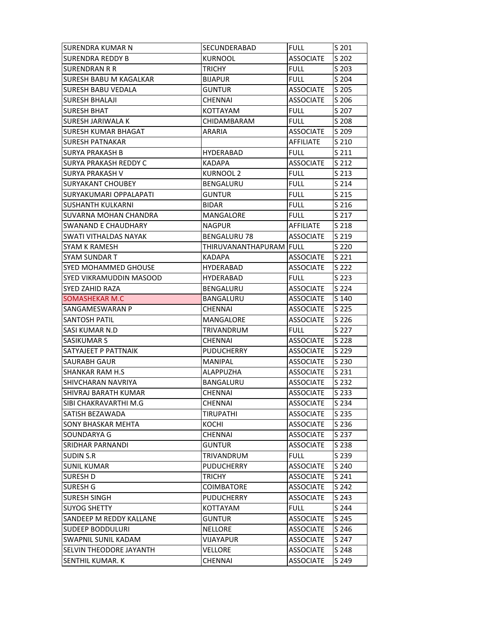| <b>SURENDRA KUMAR N</b>       | SECUNDERABAD                    | <b>FULL</b>      | S 201            |
|-------------------------------|---------------------------------|------------------|------------------|
| SURENDRA REDDY B              | KURNOOL                         | <b>ASSOCIATE</b> | S 202            |
| SURENDRAN R R                 | <b>TRICHY</b>                   | <b>FULL</b>      | S 203            |
| <b>SURESH BABU M KAGALKAR</b> | <b>BIJAPUR</b>                  | <b>FULL</b>      | S 204            |
| <b>SURESH BABU VEDALA</b>     | <b>GUNTUR</b>                   | <b>ASSOCIATE</b> | S 205            |
| <b>SURESH BHALAJI</b>         | <b>CHENNAI</b>                  | ASSOCIATE        | S 206            |
| SURESH BHAT                   | KOTTAYAM                        | <b>FULL</b>      | S 207            |
| <b>SURESH JARIWALA K</b>      | CHIDAMBARAM                     | <b>FULL</b>      | S 208            |
| <b>SURESH KUMAR BHAGAT</b>    | ARARIA                          | <b>ASSOCIATE</b> | S 209            |
| SURESH PATNAKAR               |                                 | <b>AFFILIATE</b> | S 210            |
| <b>SURYA PRAKASH B</b>        | HYDERABAD                       | <b>FULL</b>      | S 211            |
| <b>SURYA PRAKASH REDDY C</b>  | <b>KADAPA</b>                   | <b>ASSOCIATE</b> | S 212            |
| <b>SURYA PRAKASH V</b>        | KURNOOL 2                       | <b>FULL</b>      | S 213            |
| <b>SURYAKANT CHOUBEY</b>      | BENGALURU                       | <b>FULL</b>      | S 214            |
| SURYAKUMARI OPPALAPATI        | <b>GUNTUR</b>                   | <b>FULL</b>      | S 215            |
| <b>SUSHANTH KULKARNI</b>      | <b>BIDAR</b>                    | <b>FULL</b>      | S <sub>216</sub> |
| <b>SUVARNA MOHAN CHANDRA</b>  | <b>MANGALORE</b>                | <b>FULL</b>      | S 217            |
| SWANAND E CHAUDHARY           | <b>NAGPUR</b>                   | <b>AFFILIATE</b> | S 218            |
| SWATI VITHALDAS NAYAK         | <b>BENGALURU 78</b>             | <b>ASSOCIATE</b> | S 219            |
| <b>SYAM K RAMESH</b>          | THIRUVANANTHAPURAM FULL         |                  | S 220            |
| <b>SYAM SUNDAR T</b>          | <b>KADAPA</b>                   | <b>ASSOCIATE</b> | S 221            |
| <b>SYED MOHAMMED GHOUSE</b>   | HYDERABAD                       | <b>ASSOCIATE</b> | S 222            |
| SYED VIKRAMUDDIN MASOOD       | HYDERABAD                       | <b>FULL</b>      | S 223            |
| SYED ZAHID RAZA               | BENGALURU                       | <b>ASSOCIATE</b> | S 224            |
| SOMASHEKAR M.C                | BANGALURU                       | <b>ASSOCIATE</b> | S 140            |
| SANGAMESWARAN P               | <b>CHENNAI</b>                  | <b>ASSOCIATE</b> | S 225            |
| <b>SANTOSH PATIL</b>          | MANGALORE                       | <b>ASSOCIATE</b> | S 226            |
| <b>SASI KUMAR N.D</b>         | TRIVANDRUM                      | <b>FULL</b>      | S 227            |
| SASIKUMAR S                   | <b>CHENNAI</b>                  | <b>ASSOCIATE</b> | S 228            |
| SATYAJEET P PATTNAIK          | <b>PUDUCHERRY</b>               | <b>ASSOCIATE</b> | S 229            |
| <b>SAURABH GAUR</b>           | MANIPAL                         | <b>ASSOCIATE</b> | S 230            |
| <b>SHANKAR RAM H.S</b>        | ALAPPUZHA                       | <b>ASSOCIATE</b> | S 231            |
| SHIVCHARAN NAVRIYA            | BANGALURU                       | <b>ASSOCIATE</b> | S 232            |
| ISHIVRAJ BARATH KUMAR         | CHENNAI                         | <b>ASSOCIATE</b> | S 233            |
| SIBI CHAKRAVARTHI M.G         | CHENNAI                         | <b>ASSOCIATE</b> | S 234            |
| SATISH BEZAWADA               | <b>TIRUPATHI</b>                | <b>ASSOCIATE</b> | S 235            |
| SONY BHASKAR MEHTA            | KOCHI                           | <b>ASSOCIATE</b> | S 236            |
| SOUNDARYA G                   | <b>CHENNAI</b>                  | <b>ASSOCIATE</b> | S 237            |
| SRIDHAR PARNANDI              | <b>GUNTUR</b>                   | <b>ASSOCIATE</b> | S 238            |
| <b>SUDIN S.R</b>              | TRIVANDRUM                      | <b>FULL</b>      | S 239            |
| <b>SUNIL KUMAR</b>            | <b>PUDUCHERRY</b>               | <b>ASSOCIATE</b> | S 240            |
| <b>SURESH D</b>               | <b>TRICHY</b>                   | <b>ASSOCIATE</b> | S 241            |
| SURESH G                      | <b>COIMBATORE</b>               | <b>ASSOCIATE</b> | S 242            |
| SURESH SINGH                  | <b>PUDUCHERRY</b>               | <b>ASSOCIATE</b> | S 243            |
| <b>SUYOG SHETTY</b>           | KOTTAYAM                        | <b>FULL</b>      | S 244            |
| SANDEEP M REDDY KALLANE       |                                 | <b>ASSOCIATE</b> |                  |
| <b>SUDEEP BODDULURI</b>       | <b>GUNTUR</b><br><b>NELLORE</b> | <b>ASSOCIATE</b> | S 245            |
| SWAPNIL SUNIL KADAM           | VIJAYAPUR                       | <b>ASSOCIATE</b> | S 246<br>S 247   |
| SELVIN THEODORE JAYANTH       |                                 |                  |                  |
|                               | VELLORE                         | <b>ASSOCIATE</b> | S 248            |
| SENTHIL KUMAR. K              | <b>CHENNAI</b>                  | <b>ASSOCIATE</b> | S 249            |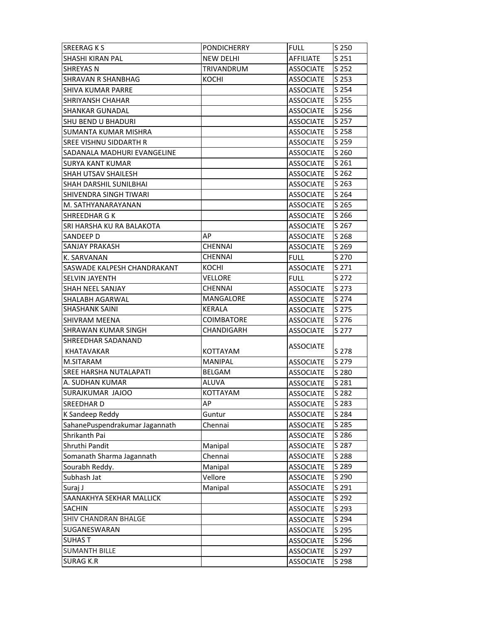| <b>SREERAGKS</b>               | <b>PONDICHERRY</b> | <b>FULL</b>      | S 250 |
|--------------------------------|--------------------|------------------|-------|
| SHASHI KIRAN PAL               | <b>NEW DELHI</b>   | <b>AFFILIATE</b> | S 251 |
| <b>SHREYAS N</b>               | <b>TRIVANDRUM</b>  | <b>ASSOCIATE</b> | S 252 |
| <b>SHRAVAN R SHANBHAG</b>      | KOCHI              | ASSOCIATE        | S 253 |
| SHIVA KUMAR PARRE              |                    | <b>ASSOCIATE</b> | S 254 |
| <b>SHRIYANSH CHAHAR</b>        |                    | <b>ASSOCIATE</b> | S 255 |
| <b>SHANKAR GUNADAL</b>         |                    | <b>ASSOCIATE</b> | S 256 |
| <b>SHU BEND U BHADURI</b>      |                    | <b>ASSOCIATE</b> | S 257 |
| SUMANTA KUMAR MISHRA           |                    | <b>ASSOCIATE</b> | S 258 |
| SREE VISHNU SIDDARTH R         |                    | ASSOCIATE        | S 259 |
| SADANALA MADHURI EVANGELINE    |                    | <b>ASSOCIATE</b> | S 260 |
| <b>SURYA KANT KUMAR</b>        |                    | <b>ASSOCIATE</b> | S 261 |
| SHAH UTSAV SHAILESH            |                    | <b>ASSOCIATE</b> | S 262 |
| <b>SHAH DARSHIL SUNILBHAI</b>  |                    | <b>ASSOCIATE</b> | S 263 |
| SHIVENDRA SINGH TIWARI         |                    | <b>ASSOCIATE</b> | S 264 |
| M. SATHYANARAYANAN             |                    | <b>ASSOCIATE</b> | S 265 |
| SHREEDHAR G K                  |                    | <b>ASSOCIATE</b> | S 266 |
| SRI HARSHA KU RA BALAKOTA      |                    | <b>ASSOCIATE</b> | S 267 |
| SANDEEP D                      | AP                 | <b>ASSOCIATE</b> | S 268 |
| SANJAY PRAKASH                 | <b>CHENNAI</b>     | <b>ASSOCIATE</b> | S 269 |
| K. SARVANAN                    | CHENNAI            | <b>FULL</b>      | S 270 |
| SASWADE KALPESH CHANDRAKANT    | KOCHI              | <b>ASSOCIATE</b> | S 271 |
| <b>SELVIN JAYENTH</b>          | VELLORE            | <b>FULL</b>      | S 272 |
| SHAH NEEL SANJAY               | <b>CHENNAI</b>     | <b>ASSOCIATE</b> | S 273 |
| <b>SHALABH AGARWAL</b>         | MANGALORE          | <b>ASSOCIATE</b> | S 274 |
| <b>SHASHANK SAINI</b>          | KERALA             | <b>ASSOCIATE</b> | S 275 |
| <b>SHIVRAM MEENA</b>           | <b>COIMBATORE</b>  | <b>ASSOCIATE</b> | S 276 |
| <b>SHRAWAN KUMAR SINGH</b>     | CHANDIGARH         | <b>ASSOCIATE</b> | S 277 |
| SHREEDHAR SADANAND             |                    | ASSOCIATE        |       |
| KHATAVAKAR                     | KOTTAYAM           |                  | S 278 |
| M.SITARAM                      | <b>MANIPAL</b>     | <b>ASSOCIATE</b> | S 279 |
| SREE HARSHA NUTALAPATI         | <b>BELGAM</b>      | <b>ASSOCIATE</b> | S 280 |
| A. SUDHAN KUMAR                | <b>ALUVA</b>       | <b>ASSOCIATE</b> | S 281 |
| SURAJKUMAR JAJOO               | <b>KOTTAYAM</b>    | <b>ASSOCIATE</b> | S 282 |
| SREEDHAR D                     | AP                 | <b>ASSOCIATE</b> | S 283 |
| K Sandeep Reddy                | Guntur             | <b>ASSOCIATE</b> | S 284 |
| SahanePuspendrakumar Jagannath | Chennai            | <b>ASSOCIATE</b> | S 285 |
| Shrikanth Pai                  |                    | <b>ASSOCIATE</b> | S 286 |
| Shruthi Pandit                 | Manipal            | <b>ASSOCIATE</b> | S 287 |
| Somanath Sharma Jagannath      | Chennai            | <b>ASSOCIATE</b> | S 288 |
| Sourabh Reddy.                 | Manipal            | <b>ASSOCIATE</b> | S 289 |
| Subhash Jat                    | Vellore            | <b>ASSOCIATE</b> | S 290 |
| Suraj J                        | Manipal            | <b>ASSOCIATE</b> | S 291 |
| SAANAKHYA SEKHAR MALLICK       |                    | <b>ASSOCIATE</b> | S 292 |
| <b>SACHIN</b>                  |                    | <b>ASSOCIATE</b> | S 293 |
| SHIV CHANDRAN BHALGE           |                    | <b>ASSOCIATE</b> | S 294 |
| SUGANESWARAN                   |                    | <b>ASSOCIATE</b> | S 295 |
| <b>SUHAST</b>                  |                    | <b>ASSOCIATE</b> | S 296 |
| <b>SUMANTH BILLE</b>           |                    | <b>ASSOCIATE</b> | S 297 |
| <b>SURAG K.R</b>               |                    | <b>ASSOCIATE</b> | S 298 |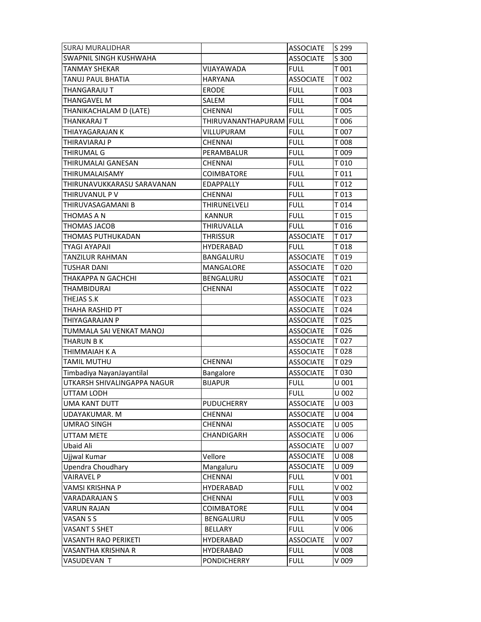| <b>SURAJ MURALIDHAR</b>       |                         | <b>ASSOCIATE</b> | S 299   |
|-------------------------------|-------------------------|------------------|---------|
| <b>SWAPNIL SINGH KUSHWAHA</b> |                         | <b>ASSOCIATE</b> | S 300   |
| <b>TANMAY SHEKAR</b>          | VIJAYAWADA              | <b>FULL</b>      | T 001   |
| TANUJ PAUL BHATIA             | <b>HARYANA</b>          | <b>ASSOCIATE</b> | T 002   |
| THANGARAJU T                  | <b>ERODE</b>            | <b>FULL</b>      | T 003   |
| <b>THANGAVEL M</b>            | SALEM                   | <b>FULL</b>      | T 004   |
| THANIKACHALAM D (LATE)        | <b>CHENNAI</b>          | <b>FULL</b>      | T 005   |
| <b>THANKARAJ T</b>            | THIRUVANANTHAPURAM FULL |                  | T006    |
| <b>THIAYAGARAJAN K</b>        | VILLUPURAM              | <b>FULL</b>      | T 007   |
| THIRAVIARAJ P                 | CHENNAI                 | <b>FULL</b>      | T008    |
| <b>THIRUMAL G</b>             | PERAMBALUR              | <b>FULL</b>      | T 009   |
| THIRUMALAI GANESAN            | <b>CHENNAI</b>          | <b>FULL</b>      | T 010   |
| THIRUMALAISAMY                | <b>COIMBATORE</b>       | <b>FULL</b>      | T 011   |
| THIRUNAVUKKARASU SARAVANAN    | <b>EDAPPALLY</b>        | <b>FULL</b>      | T 012   |
| THIRUVANUL P V                | <b>CHENNAI</b>          | <b>FULL</b>      | T013    |
| THIRUVASAGAMANI B             | <b>THIRUNELVELI</b>     | <b>FULL</b>      | T 014   |
| THOMAS A N                    | <b>KANNUR</b>           | <b>FULL</b>      | T015    |
| <b>THOMAS JACOB</b>           | THIRUVALLA              | <b>FULL</b>      | T016    |
| THOMAS PUTHUKADAN             | <b>THRISSUR</b>         | <b>ASSOCIATE</b> | T017    |
| <b>TYAGI AYAPAJI</b>          | <b>HYDERABAD</b>        | <b>FULL</b>      | T018    |
| <b>TANZILUR RAHMAN</b>        | BANGALURU               | <b>ASSOCIATE</b> | T019    |
| <b>TUSHAR DANI</b>            | MANGALORE               | <b>ASSOCIATE</b> | T020    |
| THAKAPPA N GACHCHI            | BENGALURU               | <b>ASSOCIATE</b> | T021    |
| THAMBIDURAI                   | <b>CHENNAI</b>          | <b>ASSOCIATE</b> | T022    |
| THEJAS S.K                    |                         | <b>ASSOCIATE</b> | T023    |
| <b>THAHA RASHID PT</b>        |                         | <b>ASSOCIATE</b> | T024    |
| THIYAGARAJAN P                |                         | <b>ASSOCIATE</b> |         |
|                               |                         |                  | T025    |
| TUMMALA SAI VENKAT MANOJ      |                         | <b>ASSOCIATE</b> | T 026   |
| <b>THARUN B K</b>             |                         | <b>ASSOCIATE</b> | T 027   |
| THIMMAIAH K A                 |                         | <b>ASSOCIATE</b> | T028    |
| <b>TAMIL MUTHU</b>            | <b>CHENNAI</b>          | <b>ASSOCIATE</b> | T029    |
| Timbadiya NayanJayantilal     | Bangalore               | <b>ASSOCIATE</b> | T030    |
| UTKARSH SHIVALINGAPPA NAGUR   | <b>BIJAPUR</b>          | <b>FULL</b>      | U 001   |
| UTTAM LODH                    |                         | <b>FULL</b>      | U 002   |
| UMA KANT DUTT                 | <b>PUDUCHERRY</b>       | <b>ASSOCIATE</b> | U 003   |
| UDAYAKUMAR. M                 | <b>CHENNAI</b>          | <b>ASSOCIATE</b> | U 004   |
| <b>UMRAO SINGH</b>            | CHENNAI                 | <b>ASSOCIATE</b> | U 005   |
| UTTAM METE                    | CHANDIGARH              | <b>ASSOCIATE</b> | U006    |
| Ubaid Ali                     |                         | <b>ASSOCIATE</b> | U 007   |
| Ujjwal Kumar                  | Vellore                 | <b>ASSOCIATE</b> | U 008   |
| <b>Upendra Choudhary</b>      | Mangaluru               | <b>ASSOCIATE</b> | U 009   |
| <b>VAIRAVEL P</b>             | CHENNAI                 | <b>FULL</b>      | $V$ 001 |
| VAMSI KRISHNA P               | <b>HYDERABAD</b>        | <b>FULL</b>      | $V$ 002 |
| <b>VARADARAJAN S</b>          | <b>CHENNAI</b>          | <b>FULL</b>      | V003    |
| <b>VARUN RAJAN</b>            | <b>COIMBATORE</b>       | <b>FULL</b>      | $V$ 004 |
| VASAN S S                     | <b>BENGALURU</b>        | <b>FULL</b>      | V005    |
| VASANT S SHET                 | <b>BELLARY</b>          | <b>FULL</b>      | V 006   |
| VASANTH RAO PERIKETI          | HYDERABAD               | <b>ASSOCIATE</b> | V 007   |
| VASANTHA KRISHNA R            | <b>HYDERABAD</b>        | <b>FULL</b>      | V008    |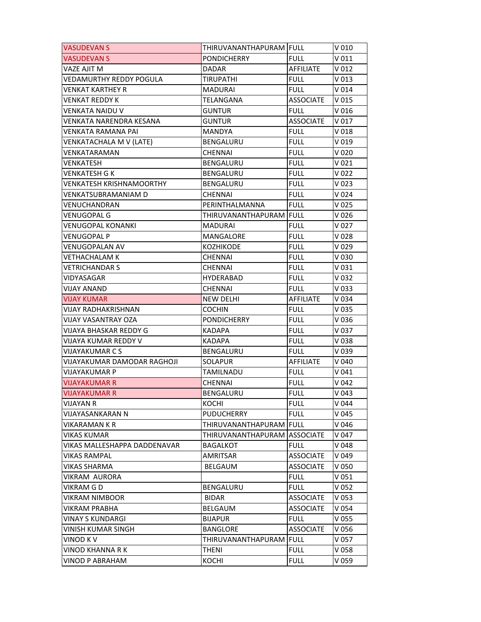| <b>VASUDEVAN S</b>                 | THIRUVANANTHAPURAM  FULL |                  | V 010            |
|------------------------------------|--------------------------|------------------|------------------|
| VASUDEVAN S                        | <b>PONDICHERRY</b>       | <b>FULL</b>      | V <sub>011</sub> |
| VAZE AJIT M                        | <b>DADAR</b>             | AFFILIATE        | V <sub>012</sub> |
| VEDAMURTHY REDDY POGULA            | TIRUPATHI                | FULL             | V <sub>013</sub> |
| VENKAT KARTHEY R                   | <b>MADURAI</b>           | <b>FULL</b>      | V <sub>014</sub> |
| VENKAT REDDY K                     | TELANGANA                | ASSOCIATE        | V 015            |
| VENKATA NAIDU V                    | GUNTUR                   | <b>FULL</b>      | V 016            |
| VENKATA NARENDRA KESANA            | <b>GUNTUR</b>            | <b>ASSOCIATE</b> | V 017            |
| VENKATA RAMANA PAI                 | MANDYA                   | <b>FULL</b>      | V 018            |
| VENKATACHALA M V (LATE)            | <b>BENGALURU</b>         | <b>FULL</b>      | $V$ 019          |
| VENKATARAMAN                       | <b>CHENNAI</b>           | <b>FULL</b>      | V 020            |
| VENKATESH                          | BENGALURU                | <b>FULL</b>      | V <sub>021</sub> |
| <b>VENKATESH G K</b>               | BENGALURU                | <b>FULL</b>      | V <sub>022</sub> |
| <b>VENKATESH KRISHNAMOORTHY</b>    | <b>BENGALURU</b>         | <b>FULL</b>      | $V$ 023          |
| VENKATSUBRAMANIAM D                | <b>CHENNAI</b>           | FULL             | V 024            |
| VENUCHANDRAN                       | PERINTHALMANNA           | <b>FULL</b>      | V 025            |
| VENUGOPAL G                        | THIRUVANANTHAPURAM FULL  |                  | V 026            |
| VENUGOPAL KONANKI                  | <b>MADURAI</b>           | <b>FULL</b>      | V 027            |
| VENUGOPAL P                        | MANGALORE                | <b>FULL</b>      | V 028            |
| VENUGOPALAN AV                     | <b>KOZHIKODE</b>         | <b>FULL</b>      | V 029            |
| VETHACHALAM K                      | <b>CHENNAI</b>           | <b>FULL</b>      | V 030            |
| VETRICHANDAR S                     | CHENNAI                  | <b>FULL</b>      | V <sub>031</sub> |
| VIDYASAGAR                         | HYDERABAD                | <b>FULL</b>      | V 032            |
| VIJAY ANAND                        | <b>CHENNAI</b>           | FULL             | V 033            |
| <b>VIJAY KUMAR</b>                 | <b>NEW DELHI</b>         | AFFILIATE        | V 034            |
| VIJAY RADHAKRISHNAN                | <b>COCHIN</b>            | <b>FULL</b>      | V 035            |
| VIJAY VASANTRAY OZA                | <b>PONDICHERRY</b>       | <b>FULL</b>      | V 036            |
| VIJAYA BHASKAR REDDY G             | <b>KADAPA</b>            | <b>FULL</b>      | V 037            |
| VIJAYA KUMAR REDDY V               | KADAPA                   | FULL             | V 038            |
| <b>VIJAYAKUMAR C S</b>             | <b>BENGALURU</b>         | <b>FULL</b>      | V 039            |
| <b>VIJAYAKUMAR DAMODAR RAGHOJI</b> | <b>SOLAPUR</b>           | AFFILIATE        | V 040            |
| <b>VIJAYAKUMAR P</b>               | TAMILNADU                | <b>FULL</b>      | V <sub>041</sub> |
| <b>VIJAYAKUMAR R</b>               | <b>CHENNAI</b>           | <b>FULL</b>      | V <sub>042</sub> |
| <b>VIJAYAKUMAR R</b>               | <b>BENGALURU</b>         | <b>FULL</b>      | V 043            |
| VIJAYAN R                          | KOCHI                    | <b>FULL</b>      | V 044            |
| VIJAYASANKARAN N                   | <b>PUDUCHERRY</b>        | <b>FULL</b>      | V 045            |
| VIKARAMAN K R                      | THIRUVANANTHAPURAM FULL  |                  | V 046            |
| VIKAS KUMAR                        | THIRUVANANTHAPURAM       | <b>ASSOCIATE</b> | V 047            |
| VIKAS MALLESHAPPA DADDENAVAR       | <b>BAGALKOT</b>          | <b>FULL</b>      | V 048            |
| <b>VIKAS RAMPAL</b>                | AMRITSAR                 | <b>ASSOCIATE</b> | V 049            |
| VIKAS SHARMA                       | <b>BELGAUM</b>           | <b>ASSOCIATE</b> | V 050            |
| VIKRAM AURORA                      |                          | <b>FULL</b>      | V 051            |
| VIKRAM G D                         | BENGALURU                | <b>FULL</b>      | V <sub>052</sub> |
| VIKRAM NIMBOOR                     | <b>BIDAR</b>             | <b>ASSOCIATE</b> | V <sub>053</sub> |
| VIKRAM PRABHA                      | <b>BELGAUM</b>           | <b>ASSOCIATE</b> | V 054            |
| VINAY S KUNDARGI                   | <b>BIJAPUR</b>           | <b>FULL</b>      | V 055            |
| VINISH KUMAR SINGH                 | <b>BANGLORE</b>          | <b>ASSOCIATE</b> | V 056            |
| VINOD K V                          | THIRUVANANTHAPURAM FULL  |                  | V 057            |
| VINOD KHANNA R K                   | THENI                    | <b>FULL</b>      | V 058            |
| VINOD P ABRAHAM                    | KOCHI                    | <b>FULL</b>      | V 059            |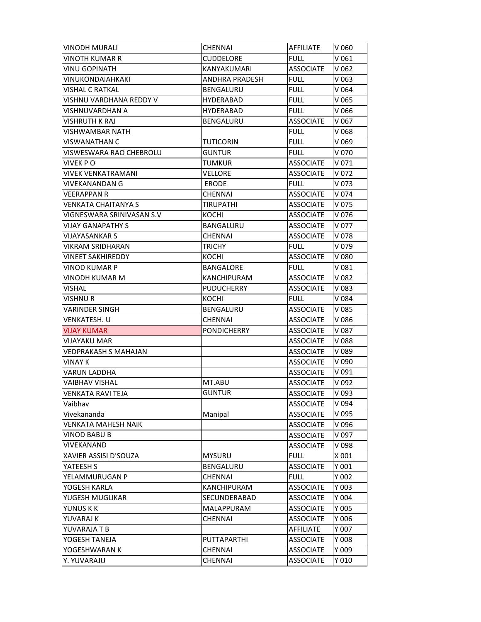| VINODH MURALI             | <b>CHENNAI</b>        | AFFILIATE        | V 060            |
|---------------------------|-----------------------|------------------|------------------|
| VINOTH KUMAR R            | <b>CUDDELORE</b>      | <b>FULL</b>      | V 061            |
| <b>VINU GOPINATH</b>      | KANYAKUMARI           | <b>ASSOCIATE</b> | V <sub>062</sub> |
| VINUKONDAIAHKAKI          | <b>ANDHRA PRADESH</b> | <b>FULL</b>      | V <sub>063</sub> |
| <b>VISHAL C RATKAL</b>    | <b>BENGALURU</b>      | <b>FULL</b>      | V 064            |
| VISHNU VARDHANA REDDY V   | <b>HYDERABAD</b>      | FULL             | V 065            |
| VISHNUVARDHAN A           | HYDERABAD             | <b>FULL</b>      | V 066            |
| VISHRUTH K RAJ            | <b>BENGALURU</b>      | <b>ASSOCIATE</b> | V 067            |
| VISHWAMBAR NATH           |                       | <b>FULL</b>      | V 068            |
| VISWANATHAN C             | TUTICORIN             | <b>FULL</b>      | V 069            |
| VISWESWARA RAO CHEBROLU   | <b>GUNTUR</b>         | <b>FULL</b>      | V 070            |
| VIVEK P O                 | TUMKUR                | <b>ASSOCIATE</b> | V 071            |
| VIVEK VENKATRAMANI        | VELLORE               | <b>ASSOCIATE</b> | V 072            |
| VIVEKANANDAN G            | <b>ERODE</b>          | <b>FULL</b>      | V 073            |
| VEERAPPAN R               | CHENNAI               | <b>ASSOCIATE</b> | V 074            |
| VENKATA CHAITANYA S       | <b>TIRUPATHI</b>      | <b>ASSOCIATE</b> | V 075            |
| VIGNESWARA SRINIVASAN S.V | KOCHI                 | <b>ASSOCIATE</b> | V 076            |
| <b>VIJAY GANAPATHY S</b>  | BANGALURU             | <b>ASSOCIATE</b> | V 077            |
| <b>VIJAYASANKAR S</b>     | <b>CHENNAI</b>        | <b>ASSOCIATE</b> | V 078            |
| VIKRAM SRIDHARAN          | <b>TRICHY</b>         | FULL             | V 079            |
| <b>VINEET SAKHIREDDY</b>  | KOCHI                 | <b>ASSOCIATE</b> | V 080            |
| VINOD KUMAR P             | BANGALORE             | <b>FULL</b>      | V 081            |
| VINODH KUMAR M            | <b>KANCHIPURAM</b>    | <b>ASSOCIATE</b> | V 082            |
| VISHAL                    | <b>PUDUCHERRY</b>     | <b>ASSOCIATE</b> | V 083            |
| <b>VISHNU R</b>           | KOCHI                 | <b>FULL</b>      | V 084            |
| VARINDER SINGH            | <b>BENGALURU</b>      | <b>ASSOCIATE</b> | V 085            |
| VENKATESH. U              | <b>CHENNAI</b>        | <b>ASSOCIATE</b> | V 086            |
| VIJAY KUMAR               | <b>PONDICHERRY</b>    | <b>ASSOCIATE</b> | V 087            |
| VIJAYAKU MAR              |                       | <b>ASSOCIATE</b> | V 088            |
| VEDPRAKASH S MAHAJAN      |                       | <b>ASSOCIATE</b> | V 089            |
| VINAY K                   |                       | <b>ASSOCIATE</b> | V 090            |
| <b>VARUN LADDHA</b>       |                       | <b>ASSOCIATE</b> | V 091            |
| <b>VAIBHAV VISHAL</b>     | MT.ABU                | <b>ASSOCIATE</b> | V 092            |
| <b>VENKATA RAVI TEJA</b>  | <b>GUNTUR</b>         | ASSOCIATE        | V 093            |
| Vaibhav                   |                       | <b>ASSOCIATE</b> | V 094            |
| Vivekananda               | Manipal               | <b>ASSOCIATE</b> | V 095            |
| VENKATA MAHESH NAIK       |                       | <b>ASSOCIATE</b> | V 096            |
| VINOD BABU B              |                       | <b>ASSOCIATE</b> | V 097            |
| VIVEKANAND                |                       | <b>ASSOCIATE</b> | V 098            |
| XAVIER ASSISI D'SOUZA     | <b>MYSURU</b>         | <b>FULL</b>      | X 001            |
| YATEESH S                 | <b>BENGALURU</b>      | <b>ASSOCIATE</b> | Y 001            |
| YELAMMURUGAN P            | CHENNAI               | <b>FULL</b>      | Y 002            |
| YOGESH KARLA              | <b>KANCHIPURAM</b>    | <b>ASSOCIATE</b> | Y 003            |
| YUGESH MUGLIKAR           | SECUNDERABAD          | <b>ASSOCIATE</b> | Y 004            |
| YUNUS K K                 | MALAPPURAM            | <b>ASSOCIATE</b> | Y 005            |
| YUVARAJ K                 | CHENNAI               | <b>ASSOCIATE</b> | Y 006            |
| YUVARAJA T B              |                       | AFFILIATE        | Y 007            |
| YOGESH TANEJA             | PUTTAPARTHI           | <b>ASSOCIATE</b> | Y 008            |
| YOGESHWARAN K             | <b>CHENNAI</b>        | <b>ASSOCIATE</b> | Y 009            |
| Y. YUVARAJU               | CHENNAI               | <b>ASSOCIATE</b> | Y 010            |